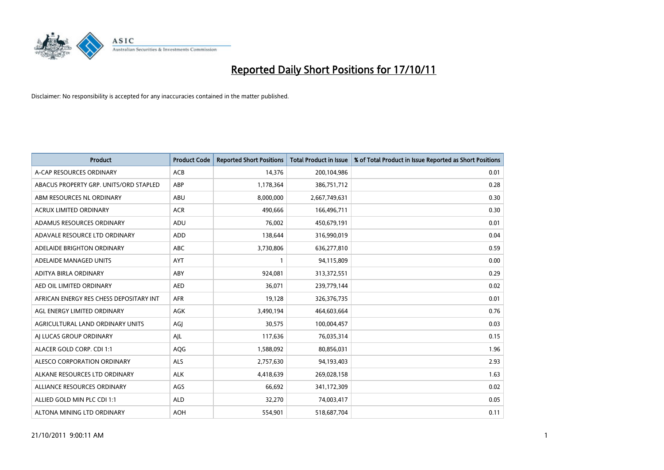

| <b>Product</b>                          | <b>Product Code</b> | <b>Reported Short Positions</b> | <b>Total Product in Issue</b> | % of Total Product in Issue Reported as Short Positions |
|-----------------------------------------|---------------------|---------------------------------|-------------------------------|---------------------------------------------------------|
| A-CAP RESOURCES ORDINARY                | <b>ACB</b>          | 14,376                          | 200,104,986                   | 0.01                                                    |
| ABACUS PROPERTY GRP. UNITS/ORD STAPLED  | ABP                 | 1,178,364                       | 386,751,712                   | 0.28                                                    |
| ABM RESOURCES NL ORDINARY               | ABU                 | 8,000,000                       | 2,667,749,631                 | 0.30                                                    |
| ACRUX LIMITED ORDINARY                  | <b>ACR</b>          | 490,666                         | 166,496,711                   | 0.30                                                    |
| ADAMUS RESOURCES ORDINARY               | ADU                 | 76,002                          | 450,679,191                   | 0.01                                                    |
| ADAVALE RESOURCE LTD ORDINARY           | ADD                 | 138,644                         | 316,990,019                   | 0.04                                                    |
| ADELAIDE BRIGHTON ORDINARY              | <b>ABC</b>          | 3,730,806                       | 636,277,810                   | 0.59                                                    |
| ADELAIDE MANAGED UNITS                  | <b>AYT</b>          |                                 | 94,115,809                    | 0.00                                                    |
| ADITYA BIRLA ORDINARY                   | ABY                 | 924,081                         | 313,372,551                   | 0.29                                                    |
| AED OIL LIMITED ORDINARY                | <b>AED</b>          | 36,071                          | 239,779,144                   | 0.02                                                    |
| AFRICAN ENERGY RES CHESS DEPOSITARY INT | <b>AFR</b>          | 19,128                          | 326, 376, 735                 | 0.01                                                    |
| AGL ENERGY LIMITED ORDINARY             | AGK                 | 3,490,194                       | 464,603,664                   | 0.76                                                    |
| AGRICULTURAL LAND ORDINARY UNITS        | AGI                 | 30,575                          | 100,004,457                   | 0.03                                                    |
| AI LUCAS GROUP ORDINARY                 | AJL                 | 117,636                         | 76,035,314                    | 0.15                                                    |
| ALACER GOLD CORP. CDI 1:1               | AQG                 | 1,588,092                       | 80,856,031                    | 1.96                                                    |
| ALESCO CORPORATION ORDINARY             | ALS                 | 2,757,630                       | 94,193,403                    | 2.93                                                    |
| ALKANE RESOURCES LTD ORDINARY           | <b>ALK</b>          | 4,418,639                       | 269,028,158                   | 1.63                                                    |
| ALLIANCE RESOURCES ORDINARY             | AGS                 | 66,692                          | 341,172,309                   | 0.02                                                    |
| ALLIED GOLD MIN PLC CDI 1:1             | <b>ALD</b>          | 32,270                          | 74,003,417                    | 0.05                                                    |
| ALTONA MINING LTD ORDINARY              | <b>AOH</b>          | 554,901                         | 518,687,704                   | 0.11                                                    |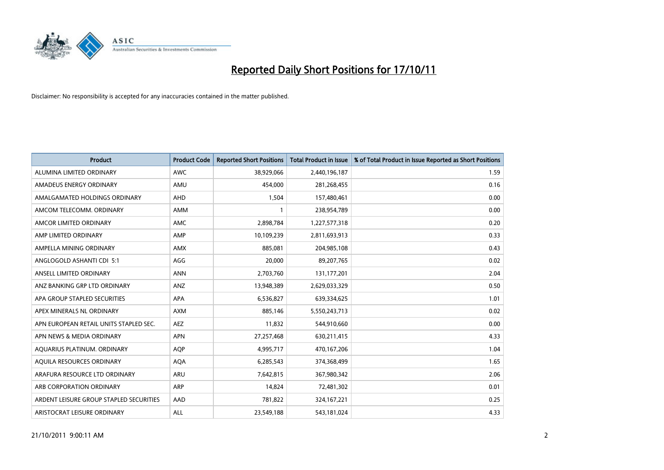

| <b>Product</b>                          | <b>Product Code</b> | <b>Reported Short Positions</b> | <b>Total Product in Issue</b> | % of Total Product in Issue Reported as Short Positions |
|-----------------------------------------|---------------------|---------------------------------|-------------------------------|---------------------------------------------------------|
| ALUMINA LIMITED ORDINARY                | <b>AWC</b>          | 38,929,066                      | 2,440,196,187                 | 1.59                                                    |
| AMADEUS ENERGY ORDINARY                 | AMU                 | 454,000                         | 281,268,455                   | 0.16                                                    |
| AMALGAMATED HOLDINGS ORDINARY           | AHD                 | 1,504                           | 157,480,461                   | 0.00                                                    |
| AMCOM TELECOMM. ORDINARY                | <b>AMM</b>          |                                 | 238,954,789                   | 0.00                                                    |
| AMCOR LIMITED ORDINARY                  | <b>AMC</b>          | 2,898,784                       | 1,227,577,318                 | 0.20                                                    |
| AMP LIMITED ORDINARY                    | AMP                 | 10,109,239                      | 2,811,693,913                 | 0.33                                                    |
| AMPELLA MINING ORDINARY                 | <b>AMX</b>          | 885.081                         | 204,985,108                   | 0.43                                                    |
| ANGLOGOLD ASHANTI CDI 5:1               | AGG                 | 20,000                          | 89,207,765                    | 0.02                                                    |
| ANSELL LIMITED ORDINARY                 | <b>ANN</b>          | 2,703,760                       | 131,177,201                   | 2.04                                                    |
| ANZ BANKING GRP LTD ORDINARY            | <b>ANZ</b>          | 13,948,389                      | 2,629,033,329                 | 0.50                                                    |
| APA GROUP STAPLED SECURITIES            | <b>APA</b>          | 6,536,827                       | 639,334,625                   | 1.01                                                    |
| APEX MINERALS NL ORDINARY               | <b>AXM</b>          | 885,146                         | 5,550,243,713                 | 0.02                                                    |
| APN EUROPEAN RETAIL UNITS STAPLED SEC.  | <b>AEZ</b>          | 11,832                          | 544,910,660                   | 0.00                                                    |
| APN NEWS & MEDIA ORDINARY               | <b>APN</b>          | 27,257,468                      | 630,211,415                   | 4.33                                                    |
| AQUARIUS PLATINUM. ORDINARY             | <b>AOP</b>          | 4,995,717                       | 470,167,206                   | 1.04                                                    |
| AQUILA RESOURCES ORDINARY               | <b>AQA</b>          | 6,285,543                       | 374,368,499                   | 1.65                                                    |
| ARAFURA RESOURCE LTD ORDINARY           | <b>ARU</b>          | 7,642,815                       | 367,980,342                   | 2.06                                                    |
| ARB CORPORATION ORDINARY                | <b>ARP</b>          | 14,824                          | 72,481,302                    | 0.01                                                    |
| ARDENT LEISURE GROUP STAPLED SECURITIES | AAD                 | 781,822                         | 324, 167, 221                 | 0.25                                                    |
| ARISTOCRAT LEISURE ORDINARY             | <b>ALL</b>          | 23,549,188                      | 543,181,024                   | 4.33                                                    |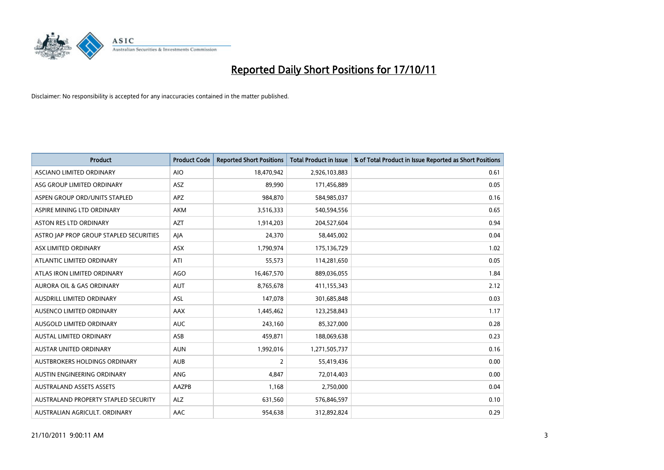

| <b>Product</b>                          | <b>Product Code</b> | <b>Reported Short Positions</b> | <b>Total Product in Issue</b> | % of Total Product in Issue Reported as Short Positions |
|-----------------------------------------|---------------------|---------------------------------|-------------------------------|---------------------------------------------------------|
| ASCIANO LIMITED ORDINARY                | <b>AIO</b>          | 18,470,942                      | 2,926,103,883                 | 0.61                                                    |
| ASG GROUP LIMITED ORDINARY              | <b>ASZ</b>          | 89,990                          | 171,456,889                   | 0.05                                                    |
| ASPEN GROUP ORD/UNITS STAPLED           | <b>APZ</b>          | 984,870                         | 584,985,037                   | 0.16                                                    |
| ASPIRE MINING LTD ORDINARY              | <b>AKM</b>          | 3,516,333                       | 540,594,556                   | 0.65                                                    |
| <b>ASTON RES LTD ORDINARY</b>           | <b>AZT</b>          | 1,914,203                       | 204,527,604                   | 0.94                                                    |
| ASTRO JAP PROP GROUP STAPLED SECURITIES | AIA                 | 24,370                          | 58,445,002                    | 0.04                                                    |
| ASX LIMITED ORDINARY                    | <b>ASX</b>          | 1,790,974                       | 175,136,729                   | 1.02                                                    |
| ATLANTIC LIMITED ORDINARY               | ATI                 | 55,573                          | 114,281,650                   | 0.05                                                    |
| ATLAS IRON LIMITED ORDINARY             | AGO                 | 16,467,570                      | 889,036,055                   | 1.84                                                    |
| <b>AURORA OIL &amp; GAS ORDINARY</b>    | <b>AUT</b>          | 8,765,678                       | 411,155,343                   | 2.12                                                    |
| AUSDRILL LIMITED ORDINARY               | ASL                 | 147,078                         | 301,685,848                   | 0.03                                                    |
| AUSENCO LIMITED ORDINARY                | AAX                 | 1,445,462                       | 123,258,843                   | 1.17                                                    |
| AUSGOLD LIMITED ORDINARY                | <b>AUC</b>          | 243,160                         | 85,327,000                    | 0.28                                                    |
| <b>AUSTAL LIMITED ORDINARY</b>          | ASB                 | 459,871                         | 188,069,638                   | 0.23                                                    |
| <b>AUSTAR UNITED ORDINARY</b>           | <b>AUN</b>          | 1,992,016                       | 1,271,505,737                 | 0.16                                                    |
| AUSTBROKERS HOLDINGS ORDINARY           | <b>AUB</b>          | 2                               | 55,419,436                    | 0.00                                                    |
| AUSTIN ENGINEERING ORDINARY             | ANG                 | 4,847                           | 72,014,403                    | 0.00                                                    |
| <b>AUSTRALAND ASSETS ASSETS</b>         | AAZPB               | 1,168                           | 2,750,000                     | 0.04                                                    |
| AUSTRALAND PROPERTY STAPLED SECURITY    | <b>ALZ</b>          | 631,560                         | 576,846,597                   | 0.10                                                    |
| AUSTRALIAN AGRICULT. ORDINARY           | AAC                 | 954,638                         | 312,892,824                   | 0.29                                                    |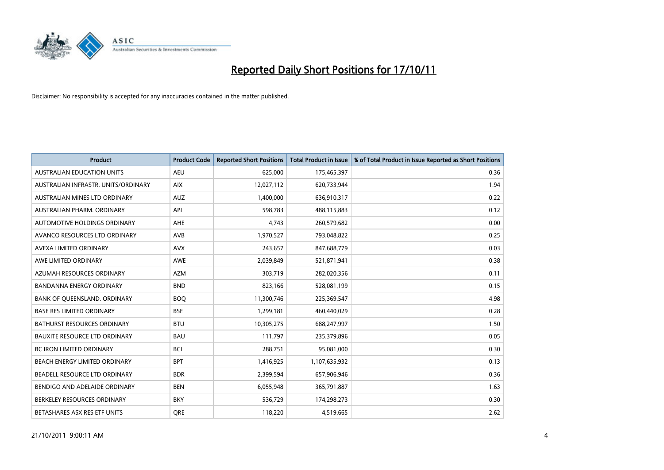

| <b>Product</b>                       | <b>Product Code</b> | <b>Reported Short Positions</b> | <b>Total Product in Issue</b> | % of Total Product in Issue Reported as Short Positions |
|--------------------------------------|---------------------|---------------------------------|-------------------------------|---------------------------------------------------------|
| <b>AUSTRALIAN EDUCATION UNITS</b>    | <b>AEU</b>          | 625,000                         | 175,465,397                   | 0.36                                                    |
| AUSTRALIAN INFRASTR, UNITS/ORDINARY  | <b>AIX</b>          | 12,027,112                      | 620,733,944                   | 1.94                                                    |
| AUSTRALIAN MINES LTD ORDINARY        | <b>AUZ</b>          | 1,400,000                       | 636,910,317                   | 0.22                                                    |
| AUSTRALIAN PHARM. ORDINARY           | API                 | 598,783                         | 488,115,883                   | 0.12                                                    |
| AUTOMOTIVE HOLDINGS ORDINARY         | <b>AHE</b>          | 4,743                           | 260,579,682                   | 0.00                                                    |
| AVANCO RESOURCES LTD ORDINARY        | <b>AVB</b>          | 1,970,527                       | 793,048,822                   | 0.25                                                    |
| AVEXA LIMITED ORDINARY               | <b>AVX</b>          | 243,657                         | 847,688,779                   | 0.03                                                    |
| AWE LIMITED ORDINARY                 | <b>AWE</b>          | 2,039,849                       | 521,871,941                   | 0.38                                                    |
| AZUMAH RESOURCES ORDINARY            | <b>AZM</b>          | 303,719                         | 282,020,356                   | 0.11                                                    |
| <b>BANDANNA ENERGY ORDINARY</b>      | <b>BND</b>          | 823,166                         | 528,081,199                   | 0.15                                                    |
| BANK OF QUEENSLAND. ORDINARY         | <b>BOQ</b>          | 11,300,746                      | 225,369,547                   | 4.98                                                    |
| <b>BASE RES LIMITED ORDINARY</b>     | <b>BSE</b>          | 1,299,181                       | 460,440,029                   | 0.28                                                    |
| <b>BATHURST RESOURCES ORDINARY</b>   | <b>BTU</b>          | 10,305,275                      | 688,247,997                   | 1.50                                                    |
| <b>BAUXITE RESOURCE LTD ORDINARY</b> | <b>BAU</b>          | 111,797                         | 235,379,896                   | 0.05                                                    |
| <b>BC IRON LIMITED ORDINARY</b>      | <b>BCI</b>          | 288,751                         | 95,081,000                    | 0.30                                                    |
| BEACH ENERGY LIMITED ORDINARY        | <b>BPT</b>          | 1,416,925                       | 1,107,635,932                 | 0.13                                                    |
| BEADELL RESOURCE LTD ORDINARY        | <b>BDR</b>          | 2,399,594                       | 657,906,946                   | 0.36                                                    |
| BENDIGO AND ADELAIDE ORDINARY        | <b>BEN</b>          | 6,055,948                       | 365,791,887                   | 1.63                                                    |
| BERKELEY RESOURCES ORDINARY          | <b>BKY</b>          | 536,729                         | 174,298,273                   | 0.30                                                    |
| BETASHARES ASX RES ETF UNITS         | <b>ORE</b>          | 118,220                         | 4,519,665                     | 2.62                                                    |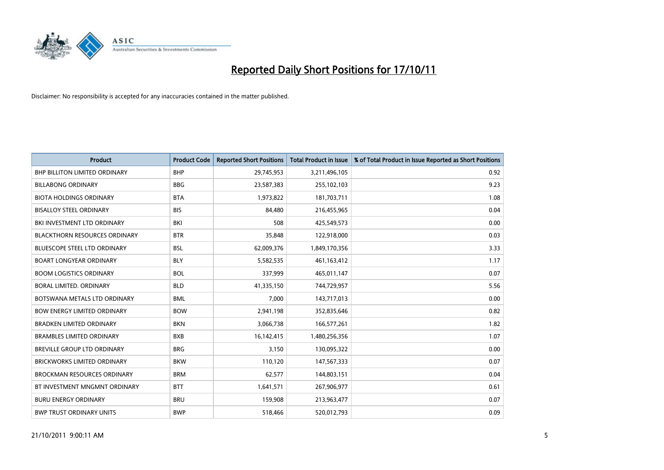

| <b>Product</b>                       | <b>Product Code</b> | <b>Reported Short Positions</b> | <b>Total Product in Issue</b> | % of Total Product in Issue Reported as Short Positions |
|--------------------------------------|---------------------|---------------------------------|-------------------------------|---------------------------------------------------------|
| <b>BHP BILLITON LIMITED ORDINARY</b> | <b>BHP</b>          | 29,745,953                      | 3,211,496,105                 | 0.92                                                    |
| <b>BILLABONG ORDINARY</b>            | <b>BBG</b>          | 23,587,383                      | 255,102,103                   | 9.23                                                    |
| <b>BIOTA HOLDINGS ORDINARY</b>       | <b>BTA</b>          | 1,973,822                       | 181,703,711                   | 1.08                                                    |
| <b>BISALLOY STEEL ORDINARY</b>       | <b>BIS</b>          | 84,480                          | 216,455,965                   | 0.04                                                    |
| BKI INVESTMENT LTD ORDINARY          | BKI                 | 508                             | 425,549,573                   | 0.00                                                    |
| <b>BLACKTHORN RESOURCES ORDINARY</b> | <b>BTR</b>          | 35,848                          | 122,918,000                   | 0.03                                                    |
| <b>BLUESCOPE STEEL LTD ORDINARY</b>  | <b>BSL</b>          | 62,009,376                      | 1,849,170,356                 | 3.33                                                    |
| <b>BOART LONGYEAR ORDINARY</b>       | <b>BLY</b>          | 5,582,535                       | 461,163,412                   | 1.17                                                    |
| <b>BOOM LOGISTICS ORDINARY</b>       | <b>BOL</b>          | 337,999                         | 465,011,147                   | 0.07                                                    |
| <b>BORAL LIMITED, ORDINARY</b>       | <b>BLD</b>          | 41,335,150                      | 744,729,957                   | 5.56                                                    |
| BOTSWANA METALS LTD ORDINARY         | <b>BML</b>          | 7,000                           | 143,717,013                   | 0.00                                                    |
| <b>BOW ENERGY LIMITED ORDINARY</b>   | <b>BOW</b>          | 2,941,198                       | 352,835,646                   | 0.82                                                    |
| BRADKEN LIMITED ORDINARY             | <b>BKN</b>          | 3,066,738                       | 166,577,261                   | 1.82                                                    |
| <b>BRAMBLES LIMITED ORDINARY</b>     | <b>BXB</b>          | 16,142,415                      | 1,480,256,356                 | 1.07                                                    |
| BREVILLE GROUP LTD ORDINARY          | <b>BRG</b>          | 3,150                           | 130,095,322                   | 0.00                                                    |
| BRICKWORKS LIMITED ORDINARY          | <b>BKW</b>          | 110,120                         | 147,567,333                   | 0.07                                                    |
| <b>BROCKMAN RESOURCES ORDINARY</b>   | <b>BRM</b>          | 62,577                          | 144,803,151                   | 0.04                                                    |
| BT INVESTMENT MNGMNT ORDINARY        | <b>BTT</b>          | 1,641,571                       | 267,906,977                   | 0.61                                                    |
| <b>BURU ENERGY ORDINARY</b>          | <b>BRU</b>          | 159,908                         | 213,963,477                   | 0.07                                                    |
| <b>BWP TRUST ORDINARY UNITS</b>      | <b>BWP</b>          | 518.466                         | 520.012.793                   | 0.09                                                    |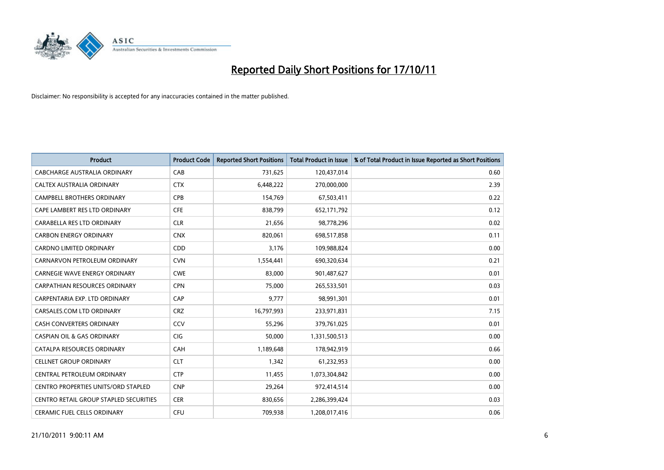

| <b>Product</b>                             | <b>Product Code</b> | <b>Reported Short Positions</b> | <b>Total Product in Issue</b> | % of Total Product in Issue Reported as Short Positions |
|--------------------------------------------|---------------------|---------------------------------|-------------------------------|---------------------------------------------------------|
| CABCHARGE AUSTRALIA ORDINARY               | CAB                 | 731,625                         | 120,437,014                   | 0.60                                                    |
| CALTEX AUSTRALIA ORDINARY                  | <b>CTX</b>          | 6,448,222                       | 270,000,000                   | 2.39                                                    |
| <b>CAMPBELL BROTHERS ORDINARY</b>          | <b>CPB</b>          | 154,769                         | 67,503,411                    | 0.22                                                    |
| CAPE LAMBERT RES LTD ORDINARY              | <b>CFE</b>          | 838,799                         | 652,171,792                   | 0.12                                                    |
| CARABELLA RES LTD ORDINARY                 | <b>CLR</b>          | 21,656                          | 98,778,296                    | 0.02                                                    |
| <b>CARBON ENERGY ORDINARY</b>              | <b>CNX</b>          | 820,061                         | 698,517,858                   | 0.11                                                    |
| <b>CARDNO LIMITED ORDINARY</b>             | CDD                 | 3,176                           | 109,988,824                   | 0.00                                                    |
| CARNARVON PETROLEUM ORDINARY               | <b>CVN</b>          | 1,554,441                       | 690,320,634                   | 0.21                                                    |
| CARNEGIE WAVE ENERGY ORDINARY              | <b>CWE</b>          | 83,000                          | 901,487,627                   | 0.01                                                    |
| <b>CARPATHIAN RESOURCES ORDINARY</b>       | <b>CPN</b>          | 75,000                          | 265,533,501                   | 0.03                                                    |
| CARPENTARIA EXP. LTD ORDINARY              | CAP                 | 9,777                           | 98,991,301                    | 0.01                                                    |
| CARSALES.COM LTD ORDINARY                  | <b>CRZ</b>          | 16,797,993                      | 233,971,831                   | 7.15                                                    |
| <b>CASH CONVERTERS ORDINARY</b>            | CCV                 | 55,296                          | 379,761,025                   | 0.01                                                    |
| <b>CASPIAN OIL &amp; GAS ORDINARY</b>      | <b>CIG</b>          | 50.000                          | 1,331,500,513                 | 0.00                                                    |
| CATALPA RESOURCES ORDINARY                 | CAH                 | 1,189,648                       | 178,942,919                   | 0.66                                                    |
| <b>CELLNET GROUP ORDINARY</b>              | <b>CLT</b>          | 1,342                           | 61,232,953                    | 0.00                                                    |
| CENTRAL PETROLEUM ORDINARY                 | <b>CTP</b>          | 11,455                          | 1,073,304,842                 | 0.00                                                    |
| <b>CENTRO PROPERTIES UNITS/ORD STAPLED</b> | <b>CNP</b>          | 29,264                          | 972,414,514                   | 0.00                                                    |
| CENTRO RETAIL GROUP STAPLED SECURITIES     | <b>CER</b>          | 830,656                         | 2,286,399,424                 | 0.03                                                    |
| <b>CERAMIC FUEL CELLS ORDINARY</b>         | <b>CFU</b>          | 709.938                         | 1,208,017,416                 | 0.06                                                    |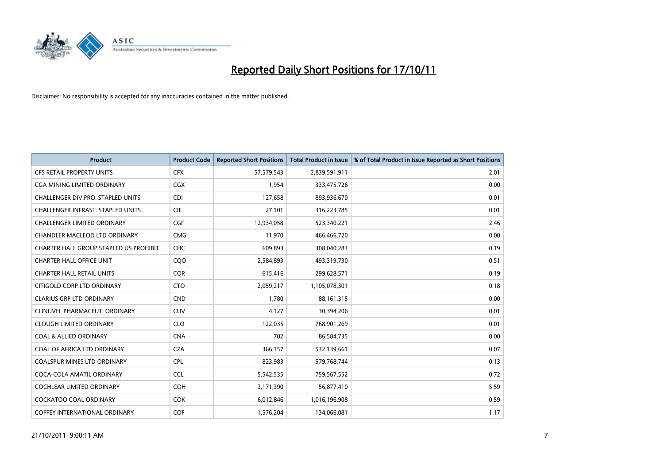

| <b>Product</b>                           | <b>Product Code</b> | <b>Reported Short Positions</b> | <b>Total Product in Issue</b> | % of Total Product in Issue Reported as Short Positions |
|------------------------------------------|---------------------|---------------------------------|-------------------------------|---------------------------------------------------------|
| <b>CFS RETAIL PROPERTY UNITS</b>         | <b>CFX</b>          | 57,579,543                      | 2,839,591,911                 | 2.01                                                    |
| CGA MINING LIMITED ORDINARY              | <b>CGX</b>          | 1,954                           | 333,475,726                   | 0.00                                                    |
| CHALLENGER DIV.PRO. STAPLED UNITS        | <b>CDI</b>          | 127,658                         | 893,936,670                   | 0.01                                                    |
| <b>CHALLENGER INFRAST, STAPLED UNITS</b> | <b>CIF</b>          | 27,101                          | 316,223,785                   | 0.01                                                    |
| <b>CHALLENGER LIMITED ORDINARY</b>       | <b>CGF</b>          | 12,934,058                      | 523,340,221                   | 2.46                                                    |
| <b>CHANDLER MACLEOD LTD ORDINARY</b>     | <b>CMG</b>          | 11,970                          | 466,466,720                   | 0.00                                                    |
| CHARTER HALL GROUP STAPLED US PROHIBIT.  | <b>CHC</b>          | 609,893                         | 308,040,283                   | 0.19                                                    |
| <b>CHARTER HALL OFFICE UNIT</b>          | CQO                 | 2,584,893                       | 493,319,730                   | 0.51                                                    |
| <b>CHARTER HALL RETAIL UNITS</b>         | <b>COR</b>          | 615,416                         | 299,628,571                   | 0.19                                                    |
| CITIGOLD CORP LTD ORDINARY               | <b>CTO</b>          | 2,059,217                       | 1,105,078,301                 | 0.18                                                    |
| <b>CLARIUS GRP LTD ORDINARY</b>          | <b>CND</b>          | 1,780                           | 88,161,315                    | 0.00                                                    |
| CLINUVEL PHARMACEUT. ORDINARY            | <b>CUV</b>          | 4,127                           | 30,394,206                    | 0.01                                                    |
| <b>CLOUGH LIMITED ORDINARY</b>           | <b>CLO</b>          | 122,035                         | 768,901,269                   | 0.01                                                    |
| <b>COAL &amp; ALLIED ORDINARY</b>        | <b>CNA</b>          | 702                             | 86,584,735                    | 0.00                                                    |
| COAL OF AFRICA LTD ORDINARY              | <b>CZA</b>          | 366,157                         | 532,139,661                   | 0.07                                                    |
| <b>COALSPUR MINES LTD ORDINARY</b>       | <b>CPL</b>          | 823,983                         | 579,768,744                   | 0.13                                                    |
| COCA-COLA AMATIL ORDINARY                | <b>CCL</b>          | 5,542,535                       | 759,567,552                   | 0.72                                                    |
| COCHLEAR LIMITED ORDINARY                | <b>COH</b>          | 3,171,390                       | 56,877,410                    | 5.59                                                    |
| <b>COCKATOO COAL ORDINARY</b>            | <b>COK</b>          | 6,012,846                       | 1,016,196,908                 | 0.59                                                    |
| <b>COFFEY INTERNATIONAL ORDINARY</b>     | <b>COF</b>          | 1,576,204                       | 134,066,081                   | 1.17                                                    |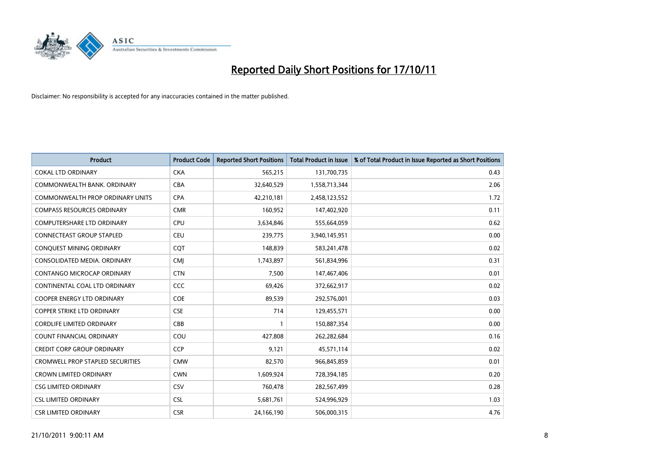

| <b>Product</b>                    | <b>Product Code</b> | <b>Reported Short Positions</b> | <b>Total Product in Issue</b> | % of Total Product in Issue Reported as Short Positions |
|-----------------------------------|---------------------|---------------------------------|-------------------------------|---------------------------------------------------------|
| <b>COKAL LTD ORDINARY</b>         | <b>CKA</b>          | 565,215                         | 131,700,735                   | 0.43                                                    |
| COMMONWEALTH BANK, ORDINARY       | CBA                 | 32,640,529                      | 1,558,713,344                 | 2.06                                                    |
| COMMONWEALTH PROP ORDINARY UNITS  | <b>CPA</b>          | 42,210,181                      | 2,458,123,552                 | 1.72                                                    |
| <b>COMPASS RESOURCES ORDINARY</b> | <b>CMR</b>          | 160,952                         | 147,402,920                   | 0.11                                                    |
| <b>COMPUTERSHARE LTD ORDINARY</b> | <b>CPU</b>          | 3,634,846                       | 555,664,059                   | 0.62                                                    |
| CONNECTEAST GROUP STAPLED         | <b>CEU</b>          | 239,775                         | 3,940,145,951                 | 0.00                                                    |
| CONQUEST MINING ORDINARY          | CQT                 | 148,839                         | 583,241,478                   | 0.02                                                    |
| CONSOLIDATED MEDIA, ORDINARY      | <b>CMI</b>          | 1,743,897                       | 561,834,996                   | 0.31                                                    |
| CONTANGO MICROCAP ORDINARY        | <b>CTN</b>          | 7,500                           | 147,467,406                   | 0.01                                                    |
| CONTINENTAL COAL LTD ORDINARY     | <b>CCC</b>          | 69,426                          | 372,662,917                   | 0.02                                                    |
| COOPER ENERGY LTD ORDINARY        | <b>COE</b>          | 89,539                          | 292,576,001                   | 0.03                                                    |
| <b>COPPER STRIKE LTD ORDINARY</b> | <b>CSE</b>          | 714                             | 129,455,571                   | 0.00                                                    |
| <b>CORDLIFE LIMITED ORDINARY</b>  | CBB                 |                                 | 150,887,354                   | 0.00                                                    |
| <b>COUNT FINANCIAL ORDINARY</b>   | COU                 | 427,808                         | 262,282,684                   | 0.16                                                    |
| <b>CREDIT CORP GROUP ORDINARY</b> | <b>CCP</b>          | 9,121                           | 45,571,114                    | 0.02                                                    |
| CROMWELL PROP STAPLED SECURITIES  | <b>CMW</b>          | 82,570                          | 966,845,859                   | 0.01                                                    |
| <b>CROWN LIMITED ORDINARY</b>     | <b>CWN</b>          | 1,609,924                       | 728,394,185                   | 0.20                                                    |
| <b>CSG LIMITED ORDINARY</b>       | CSV                 | 760,478                         | 282,567,499                   | 0.28                                                    |
| <b>CSL LIMITED ORDINARY</b>       | <b>CSL</b>          | 5,681,761                       | 524,996,929                   | 1.03                                                    |
| <b>CSR LIMITED ORDINARY</b>       | <b>CSR</b>          | 24,166,190                      | 506,000,315                   | 4.76                                                    |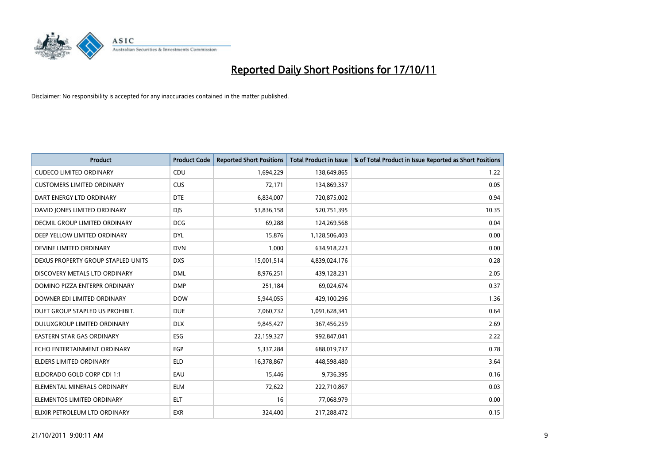

| <b>Product</b>                     | <b>Product Code</b> | <b>Reported Short Positions</b> | <b>Total Product in Issue</b> | % of Total Product in Issue Reported as Short Positions |
|------------------------------------|---------------------|---------------------------------|-------------------------------|---------------------------------------------------------|
| <b>CUDECO LIMITED ORDINARY</b>     | CDU                 | 1,694,229                       | 138,649,865                   | 1.22                                                    |
| <b>CUSTOMERS LIMITED ORDINARY</b>  | <b>CUS</b>          | 72,171                          | 134,869,357                   | 0.05                                                    |
| DART ENERGY LTD ORDINARY           | <b>DTE</b>          | 6,834,007                       | 720,875,002                   | 0.94                                                    |
| DAVID JONES LIMITED ORDINARY       | <b>DJS</b>          | 53,836,158                      | 520,751,395                   | 10.35                                                   |
| DECMIL GROUP LIMITED ORDINARY      | <b>DCG</b>          | 69,288                          | 124,269,568                   | 0.04                                                    |
| DEEP YELLOW LIMITED ORDINARY       | <b>DYL</b>          | 15,876                          | 1,128,506,403                 | 0.00                                                    |
| DEVINE LIMITED ORDINARY            | <b>DVN</b>          | 1,000                           | 634,918,223                   | 0.00                                                    |
| DEXUS PROPERTY GROUP STAPLED UNITS | <b>DXS</b>          | 15,001,514                      | 4,839,024,176                 | 0.28                                                    |
| DISCOVERY METALS LTD ORDINARY      | <b>DML</b>          | 8,976,251                       | 439,128,231                   | 2.05                                                    |
| DOMINO PIZZA ENTERPR ORDINARY      | <b>DMP</b>          | 251,184                         | 69,024,674                    | 0.37                                                    |
| DOWNER EDI LIMITED ORDINARY        | <b>DOW</b>          | 5,944,055                       | 429,100,296                   | 1.36                                                    |
| DUET GROUP STAPLED US PROHIBIT.    | <b>DUE</b>          | 7,060,732                       | 1,091,628,341                 | 0.64                                                    |
| DULUXGROUP LIMITED ORDINARY        | <b>DLX</b>          | 9,845,427                       | 367,456,259                   | 2.69                                                    |
| <b>EASTERN STAR GAS ORDINARY</b>   | ESG                 | 22,159,327                      | 992,847,041                   | 2.22                                                    |
| ECHO ENTERTAINMENT ORDINARY        | EGP                 | 5,337,284                       | 688,019,737                   | 0.78                                                    |
| ELDERS LIMITED ORDINARY            | <b>ELD</b>          | 16,378,867                      | 448,598,480                   | 3.64                                                    |
| ELDORADO GOLD CORP CDI 1:1         | EAU                 | 15,446                          | 9,736,395                     | 0.16                                                    |
| ELEMENTAL MINERALS ORDINARY        | <b>ELM</b>          | 72,622                          | 222,710,867                   | 0.03                                                    |
| ELEMENTOS LIMITED ORDINARY         | <b>ELT</b>          | 16                              | 77,068,979                    | 0.00                                                    |
| ELIXIR PETROLEUM LTD ORDINARY      | <b>EXR</b>          | 324,400                         | 217,288,472                   | 0.15                                                    |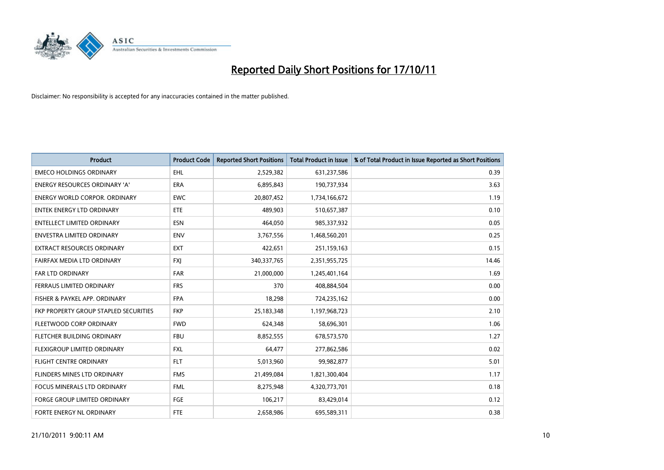

| <b>Product</b>                        | <b>Product Code</b> | <b>Reported Short Positions</b> | <b>Total Product in Issue</b> | % of Total Product in Issue Reported as Short Positions |
|---------------------------------------|---------------------|---------------------------------|-------------------------------|---------------------------------------------------------|
| <b>EMECO HOLDINGS ORDINARY</b>        | <b>EHL</b>          | 2,529,382                       | 631,237,586                   | 0.39                                                    |
| ENERGY RESOURCES ORDINARY 'A'         | <b>ERA</b>          | 6,895,843                       | 190,737,934                   | 3.63                                                    |
| ENERGY WORLD CORPOR, ORDINARY         | <b>EWC</b>          | 20,807,452                      | 1,734,166,672                 | 1.19                                                    |
| ENTEK ENERGY LTD ORDINARY             | <b>ETE</b>          | 489,903                         | 510,657,387                   | 0.10                                                    |
| <b>ENTELLECT LIMITED ORDINARY</b>     | <b>ESN</b>          | 464,050                         | 985,337,932                   | 0.05                                                    |
| <b>ENVESTRA LIMITED ORDINARY</b>      | <b>ENV</b>          | 3,767,556                       | 1,468,560,201                 | 0.25                                                    |
| EXTRACT RESOURCES ORDINARY            | <b>EXT</b>          | 422,651                         | 251,159,163                   | 0.15                                                    |
| FAIRFAX MEDIA LTD ORDINARY            | <b>FXI</b>          | 340, 337, 765                   | 2,351,955,725                 | 14.46                                                   |
| <b>FAR LTD ORDINARY</b>               | <b>FAR</b>          | 21,000,000                      | 1,245,401,164                 | 1.69                                                    |
| <b>FERRAUS LIMITED ORDINARY</b>       | <b>FRS</b>          | 370                             | 408,884,504                   | 0.00                                                    |
| FISHER & PAYKEL APP. ORDINARY         | <b>FPA</b>          | 18,298                          | 724,235,162                   | 0.00                                                    |
| FKP PROPERTY GROUP STAPLED SECURITIES | <b>FKP</b>          | 25,183,348                      | 1,197,968,723                 | 2.10                                                    |
| FLEETWOOD CORP ORDINARY               | <b>FWD</b>          | 624,348                         | 58,696,301                    | 1.06                                                    |
| FLETCHER BUILDING ORDINARY            | <b>FBU</b>          | 8,852,555                       | 678,573,570                   | 1.27                                                    |
| <b>FLEXIGROUP LIMITED ORDINARY</b>    | <b>FXL</b>          | 64,477                          | 277,862,586                   | 0.02                                                    |
| FLIGHT CENTRE ORDINARY                | <b>FLT</b>          | 5,013,960                       | 99,982,877                    | 5.01                                                    |
| FLINDERS MINES LTD ORDINARY           | <b>FMS</b>          | 21,499,084                      | 1,821,300,404                 | 1.17                                                    |
| FOCUS MINERALS LTD ORDINARY           | <b>FML</b>          | 8,275,948                       | 4,320,773,701                 | 0.18                                                    |
| <b>FORGE GROUP LIMITED ORDINARY</b>   | FGE                 | 106,217                         | 83,429,014                    | 0.12                                                    |
| FORTE ENERGY NL ORDINARY              | <b>FTE</b>          | 2,658,986                       | 695,589,311                   | 0.38                                                    |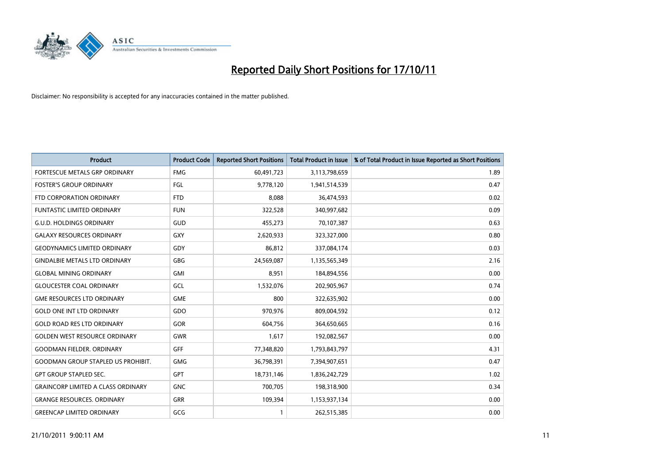

| <b>Product</b>                            | <b>Product Code</b> | <b>Reported Short Positions</b> | <b>Total Product in Issue</b> | % of Total Product in Issue Reported as Short Positions |
|-------------------------------------------|---------------------|---------------------------------|-------------------------------|---------------------------------------------------------|
| <b>FORTESCUE METALS GRP ORDINARY</b>      | <b>FMG</b>          | 60,491,723                      | 3,113,798,659                 | 1.89                                                    |
| <b>FOSTER'S GROUP ORDINARY</b>            | <b>FGL</b>          | 9,778,120                       | 1,941,514,539                 | 0.47                                                    |
| FTD CORPORATION ORDINARY                  | <b>FTD</b>          | 8,088                           | 36,474,593                    | 0.02                                                    |
| FUNTASTIC LIMITED ORDINARY                | <b>FUN</b>          | 322,528                         | 340,997,682                   | 0.09                                                    |
| <b>G.U.D. HOLDINGS ORDINARY</b>           | GUD                 | 455,273                         | 70,107,387                    | 0.63                                                    |
| <b>GALAXY RESOURCES ORDINARY</b>          | <b>GXY</b>          | 2,620,933                       | 323,327,000                   | 0.80                                                    |
| <b>GEODYNAMICS LIMITED ORDINARY</b>       | GDY                 | 86,812                          | 337,084,174                   | 0.03                                                    |
| <b>GINDALBIE METALS LTD ORDINARY</b>      | <b>GBG</b>          | 24,569,087                      | 1,135,565,349                 | 2.16                                                    |
| <b>GLOBAL MINING ORDINARY</b>             | <b>GMI</b>          | 8,951                           | 184,894,556                   | 0.00                                                    |
| <b>GLOUCESTER COAL ORDINARY</b>           | GCL                 | 1,532,076                       | 202,905,967                   | 0.74                                                    |
| <b>GME RESOURCES LTD ORDINARY</b>         | <b>GME</b>          | 800                             | 322,635,902                   | 0.00                                                    |
| <b>GOLD ONE INT LTD ORDINARY</b>          | GDO                 | 970,976                         | 809,004,592                   | 0.12                                                    |
| <b>GOLD ROAD RES LTD ORDINARY</b>         | GOR                 | 604,756                         | 364,650,665                   | 0.16                                                    |
| <b>GOLDEN WEST RESOURCE ORDINARY</b>      | <b>GWR</b>          | 1,617                           | 192,082,567                   | 0.00                                                    |
| <b>GOODMAN FIELDER, ORDINARY</b>          | GFF                 | 77,348,820                      | 1,793,843,797                 | 4.31                                                    |
| <b>GOODMAN GROUP STAPLED US PROHIBIT.</b> | <b>GMG</b>          | 36,798,391                      | 7,394,907,651                 | 0.47                                                    |
| <b>GPT GROUP STAPLED SEC.</b>             | <b>GPT</b>          | 18,731,146                      | 1,836,242,729                 | 1.02                                                    |
| <b>GRAINCORP LIMITED A CLASS ORDINARY</b> | <b>GNC</b>          | 700,705                         | 198,318,900                   | 0.34                                                    |
| <b>GRANGE RESOURCES. ORDINARY</b>         | <b>GRR</b>          | 109,394                         | 1,153,937,134                 | 0.00                                                    |
| <b>GREENCAP LIMITED ORDINARY</b>          | GCG                 |                                 | 262,515,385                   | 0.00                                                    |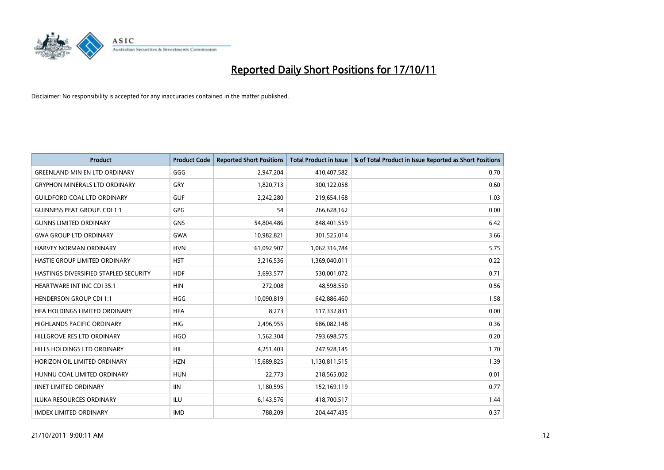

| <b>Product</b>                        | <b>Product Code</b> | <b>Reported Short Positions</b> | <b>Total Product in Issue</b> | % of Total Product in Issue Reported as Short Positions |
|---------------------------------------|---------------------|---------------------------------|-------------------------------|---------------------------------------------------------|
| <b>GREENLAND MIN EN LTD ORDINARY</b>  | GGG                 | 2,947,204                       | 410,407,582                   | 0.70                                                    |
| <b>GRYPHON MINERALS LTD ORDINARY</b>  | GRY                 | 1,820,713                       | 300,122,058                   | 0.60                                                    |
| <b>GUILDFORD COAL LTD ORDINARY</b>    | <b>GUF</b>          | 2,242,280                       | 219,654,168                   | 1.03                                                    |
| <b>GUINNESS PEAT GROUP. CDI 1:1</b>   | <b>GPG</b>          | 54                              | 266,628,162                   | 0.00                                                    |
| <b>GUNNS LIMITED ORDINARY</b>         | <b>GNS</b>          | 54,804,486                      | 848,401,559                   | 6.42                                                    |
| <b>GWA GROUP LTD ORDINARY</b>         | <b>GWA</b>          | 10,982,821                      | 301,525,014                   | 3.66                                                    |
| HARVEY NORMAN ORDINARY                | <b>HVN</b>          | 61,092,907                      | 1,062,316,784                 | 5.75                                                    |
| HASTIE GROUP LIMITED ORDINARY         | <b>HST</b>          | 3,216,536                       | 1,369,040,011                 | 0.22                                                    |
| HASTINGS DIVERSIFIED STAPLED SECURITY | <b>HDF</b>          | 3,693,577                       | 530,001,072                   | 0.71                                                    |
| <b>HEARTWARE INT INC CDI 35:1</b>     | <b>HIN</b>          | 272,008                         | 48,598,550                    | 0.56                                                    |
| <b>HENDERSON GROUP CDI 1:1</b>        | <b>HGG</b>          | 10,090,819                      | 642,886,460                   | 1.58                                                    |
| HFA HOLDINGS LIMITED ORDINARY         | <b>HFA</b>          | 8,273                           | 117,332,831                   | 0.00                                                    |
| <b>HIGHLANDS PACIFIC ORDINARY</b>     | <b>HIG</b>          | 2,496,955                       | 686,082,148                   | 0.36                                                    |
| HILLGROVE RES LTD ORDINARY            | <b>HGO</b>          | 1,562,304                       | 793,698,575                   | 0.20                                                    |
| <b>HILLS HOLDINGS LTD ORDINARY</b>    | <b>HIL</b>          | 4,251,403                       | 247,928,145                   | 1.70                                                    |
| HORIZON OIL LIMITED ORDINARY          | <b>HZN</b>          | 15,689,825                      | 1,130,811,515                 | 1.39                                                    |
| HUNNU COAL LIMITED ORDINARY           | <b>HUN</b>          | 22,773                          | 218,565,002                   | 0.01                                                    |
| <b>IINET LIMITED ORDINARY</b>         | <b>IIN</b>          | 1,180,595                       | 152,169,119                   | 0.77                                                    |
| <b>ILUKA RESOURCES ORDINARY</b>       | <b>ILU</b>          | 6,143,576                       | 418,700,517                   | 1.44                                                    |
| <b>IMDEX LIMITED ORDINARY</b>         | <b>IMD</b>          | 788,209                         | 204,447,435                   | 0.37                                                    |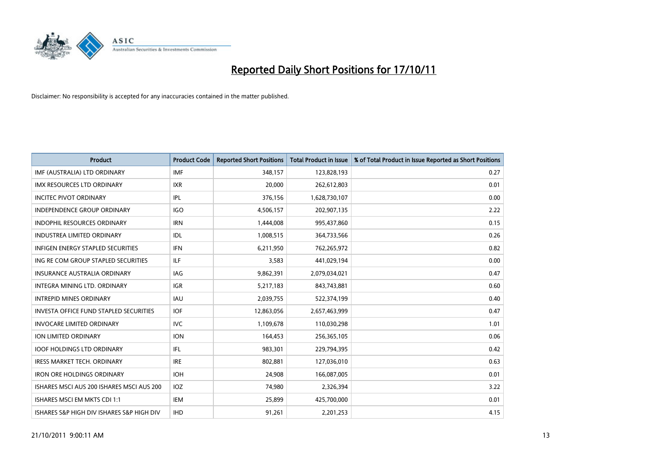

| <b>Product</b>                                | <b>Product Code</b> | <b>Reported Short Positions</b> | <b>Total Product in Issue</b> | % of Total Product in Issue Reported as Short Positions |
|-----------------------------------------------|---------------------|---------------------------------|-------------------------------|---------------------------------------------------------|
| IMF (AUSTRALIA) LTD ORDINARY                  | <b>IMF</b>          | 348,157                         | 123,828,193                   | 0.27                                                    |
| IMX RESOURCES LTD ORDINARY                    | <b>IXR</b>          | 20,000                          | 262,612,803                   | 0.01                                                    |
| <b>INCITEC PIVOT ORDINARY</b>                 | IPL                 | 376,156                         | 1,628,730,107                 | 0.00                                                    |
| INDEPENDENCE GROUP ORDINARY                   | IGO                 | 4,506,157                       | 202,907,135                   | 2.22                                                    |
| <b>INDOPHIL RESOURCES ORDINARY</b>            | <b>IRN</b>          | 1,444,008                       | 995,437,860                   | 0.15                                                    |
| <b>INDUSTREA LIMITED ORDINARY</b>             | <b>IDL</b>          | 1,008,515                       | 364,733,566                   | 0.26                                                    |
| <b>INFIGEN ENERGY STAPLED SECURITIES</b>      | <b>IFN</b>          | 6,211,950                       | 762,265,972                   | 0.82                                                    |
| ING RE COM GROUP STAPLED SECURITIES           | <b>ILF</b>          | 3,583                           | 441,029,194                   | 0.00                                                    |
| INSURANCE AUSTRALIA ORDINARY                  | IAG                 | 9,862,391                       | 2,079,034,021                 | 0.47                                                    |
| INTEGRA MINING LTD, ORDINARY                  | <b>IGR</b>          | 5,217,183                       | 843,743,881                   | 0.60                                                    |
| <b>INTREPID MINES ORDINARY</b>                | <b>IAU</b>          | 2,039,755                       | 522,374,199                   | 0.40                                                    |
| <b>INVESTA OFFICE FUND STAPLED SECURITIES</b> | <b>IOF</b>          | 12,863,056                      | 2,657,463,999                 | 0.47                                                    |
| INVOCARE LIMITED ORDINARY                     | <b>IVC</b>          | 1,109,678                       | 110,030,298                   | 1.01                                                    |
| <b>ION LIMITED ORDINARY</b>                   | <b>ION</b>          | 164,453                         | 256,365,105                   | 0.06                                                    |
| <b>IOOF HOLDINGS LTD ORDINARY</b>             | IFL.                | 983,301                         | 229,794,395                   | 0.42                                                    |
| IRESS MARKET TECH. ORDINARY                   | <b>IRE</b>          | 802,881                         | 127,036,010                   | 0.63                                                    |
| <b>IRON ORE HOLDINGS ORDINARY</b>             | <b>IOH</b>          | 24,908                          | 166,087,005                   | 0.01                                                    |
| ISHARES MSCI AUS 200 ISHARES MSCI AUS 200     | <b>IOZ</b>          | 74,980                          | 2,326,394                     | 3.22                                                    |
| ISHARES MSCI EM MKTS CDI 1:1                  | <b>IEM</b>          | 25,899                          | 425,700,000                   | 0.01                                                    |
| ISHARES S&P HIGH DIV ISHARES S&P HIGH DIV     | <b>IHD</b>          | 91,261                          | 2,201,253                     | 4.15                                                    |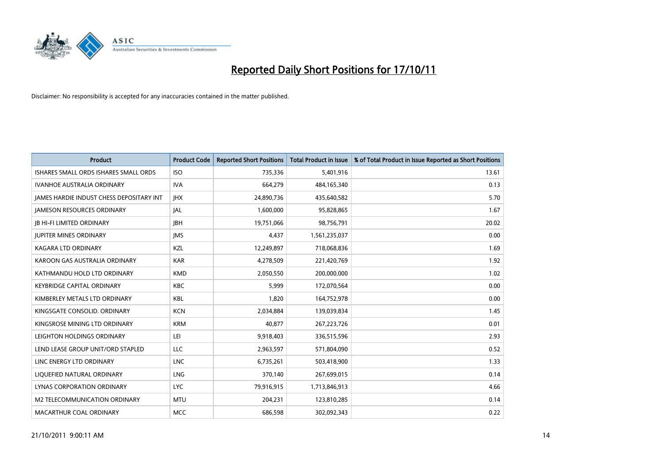

| <b>Product</b>                           | <b>Product Code</b> | <b>Reported Short Positions</b> | <b>Total Product in Issue</b> | % of Total Product in Issue Reported as Short Positions |
|------------------------------------------|---------------------|---------------------------------|-------------------------------|---------------------------------------------------------|
| ISHARES SMALL ORDS ISHARES SMALL ORDS    | <b>ISO</b>          | 735,336                         | 5,401,916                     | 13.61                                                   |
| <b>IVANHOE AUSTRALIA ORDINARY</b>        | <b>IVA</b>          | 664,279                         | 484,165,340                   | 0.13                                                    |
| JAMES HARDIE INDUST CHESS DEPOSITARY INT | <b>IHX</b>          | 24,890,736                      | 435,640,582                   | 5.70                                                    |
| <b>JAMESON RESOURCES ORDINARY</b>        | <b>JAL</b>          | 1,600,000                       | 95,828,865                    | 1.67                                                    |
| <b>JB HI-FI LIMITED ORDINARY</b>         | <b>IBH</b>          | 19,751,066                      | 98,756,791                    | 20.02                                                   |
| <b>JUPITER MINES ORDINARY</b>            | <b>IMS</b>          | 4,437                           | 1,561,235,037                 | 0.00                                                    |
| KAGARA LTD ORDINARY                      | <b>KZL</b>          | 12,249,897                      | 718,068,836                   | 1.69                                                    |
| KAROON GAS AUSTRALIA ORDINARY            | <b>KAR</b>          | 4,278,509                       | 221,420,769                   | 1.92                                                    |
| KATHMANDU HOLD LTD ORDINARY              | <b>KMD</b>          | 2,050,550                       | 200,000,000                   | 1.02                                                    |
| <b>KEYBRIDGE CAPITAL ORDINARY</b>        | <b>KBC</b>          | 5,999                           | 172,070,564                   | 0.00                                                    |
| KIMBERLEY METALS LTD ORDINARY            | <b>KBL</b>          | 1,820                           | 164,752,978                   | 0.00                                                    |
| KINGSGATE CONSOLID, ORDINARY             | <b>KCN</b>          | 2,034,884                       | 139,039,834                   | 1.45                                                    |
| KINGSROSE MINING LTD ORDINARY            | <b>KRM</b>          | 40,877                          | 267, 223, 726                 | 0.01                                                    |
| LEIGHTON HOLDINGS ORDINARY               | LEI                 | 9,918,403                       | 336,515,596                   | 2.93                                                    |
| LEND LEASE GROUP UNIT/ORD STAPLED        | <b>LLC</b>          | 2,963,597                       | 571,804,090                   | 0.52                                                    |
| LINC ENERGY LTD ORDINARY                 | <b>LNC</b>          | 6,735,261                       | 503,418,900                   | 1.33                                                    |
| LIQUEFIED NATURAL ORDINARY               | <b>LNG</b>          | 370,140                         | 267,699,015                   | 0.14                                                    |
| LYNAS CORPORATION ORDINARY               | <b>LYC</b>          | 79,916,915                      | 1,713,846,913                 | 4.66                                                    |
| <b>M2 TELECOMMUNICATION ORDINARY</b>     | <b>MTU</b>          | 204,231                         | 123,810,285                   | 0.14                                                    |
| MACARTHUR COAL ORDINARY                  | <b>MCC</b>          | 686,598                         | 302,092,343                   | 0.22                                                    |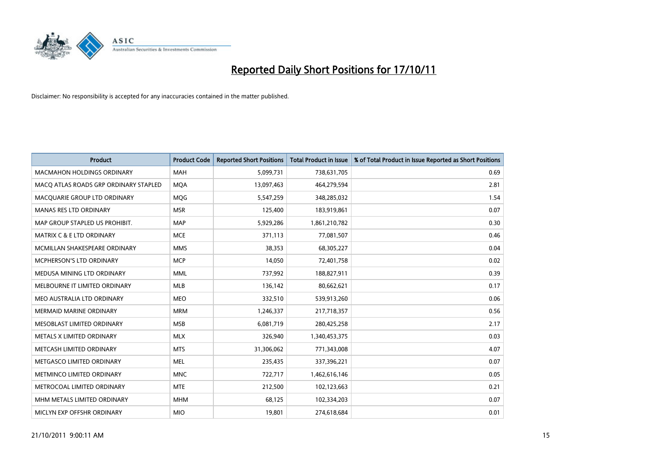

| <b>Product</b>                        | <b>Product Code</b> | <b>Reported Short Positions</b> | <b>Total Product in Issue</b> | % of Total Product in Issue Reported as Short Positions |
|---------------------------------------|---------------------|---------------------------------|-------------------------------|---------------------------------------------------------|
| <b>MACMAHON HOLDINGS ORDINARY</b>     | <b>MAH</b>          | 5,099,731                       | 738,631,705                   | 0.69                                                    |
| MACO ATLAS ROADS GRP ORDINARY STAPLED | <b>MOA</b>          | 13,097,463                      | 464,279,594                   | 2.81                                                    |
| MACQUARIE GROUP LTD ORDINARY          | <b>MOG</b>          | 5,547,259                       | 348,285,032                   | 1.54                                                    |
| <b>MANAS RES LTD ORDINARY</b>         | <b>MSR</b>          | 125,400                         | 183,919,861                   | 0.07                                                    |
| MAP GROUP STAPLED US PROHIBIT.        | <b>MAP</b>          | 5,929,286                       | 1,861,210,782                 | 0.30                                                    |
| <b>MATRIX C &amp; E LTD ORDINARY</b>  | <b>MCE</b>          | 371,113                         | 77,081,507                    | 0.46                                                    |
| MCMILLAN SHAKESPEARE ORDINARY         | <b>MMS</b>          | 38,353                          | 68,305,227                    | 0.04                                                    |
| MCPHERSON'S LTD ORDINARY              | <b>MCP</b>          | 14,050                          | 72,401,758                    | 0.02                                                    |
| MEDUSA MINING LTD ORDINARY            | <b>MML</b>          | 737,992                         | 188,827,911                   | 0.39                                                    |
| MELBOURNE IT LIMITED ORDINARY         | <b>MLB</b>          | 136,142                         | 80,662,621                    | 0.17                                                    |
| MEO AUSTRALIA LTD ORDINARY            | <b>MEO</b>          | 332,510                         | 539,913,260                   | 0.06                                                    |
| <b>MERMAID MARINE ORDINARY</b>        | <b>MRM</b>          | 1,246,337                       | 217,718,357                   | 0.56                                                    |
| MESOBLAST LIMITED ORDINARY            | <b>MSB</b>          | 6,081,719                       | 280,425,258                   | 2.17                                                    |
| METALS X LIMITED ORDINARY             | <b>MLX</b>          | 326,940                         | 1,340,453,375                 | 0.03                                                    |
| METCASH LIMITED ORDINARY              | <b>MTS</b>          | 31,306,062                      | 771,343,008                   | 4.07                                                    |
| METGASCO LIMITED ORDINARY             | <b>MEL</b>          | 235,435                         | 337,396,221                   | 0.07                                                    |
| METMINCO LIMITED ORDINARY             | <b>MNC</b>          | 722,717                         | 1,462,616,146                 | 0.05                                                    |
| METROCOAL LIMITED ORDINARY            | <b>MTE</b>          | 212,500                         | 102,123,663                   | 0.21                                                    |
| MHM METALS LIMITED ORDINARY           | <b>MHM</b>          | 68,125                          | 102,334,203                   | 0.07                                                    |
| MICLYN EXP OFFSHR ORDINARY            | <b>MIO</b>          | 19,801                          | 274,618,684                   | 0.01                                                    |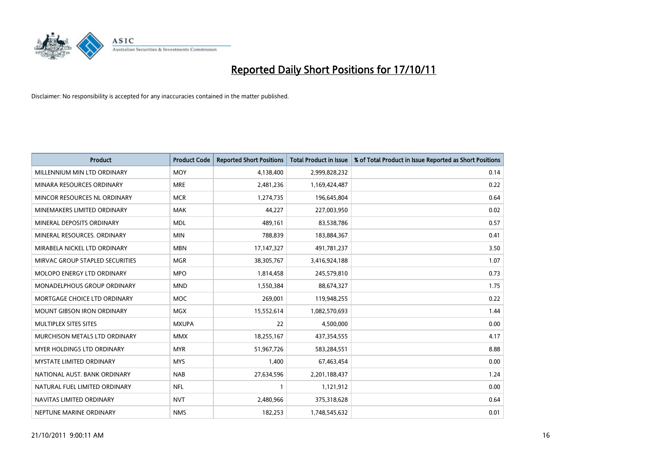

| <b>Product</b>                       | <b>Product Code</b> | <b>Reported Short Positions</b> | <b>Total Product in Issue</b> | % of Total Product in Issue Reported as Short Positions |
|--------------------------------------|---------------------|---------------------------------|-------------------------------|---------------------------------------------------------|
| MILLENNIUM MIN LTD ORDINARY          | <b>MOY</b>          | 4,138,400                       | 2,999,828,232                 | 0.14                                                    |
| MINARA RESOURCES ORDINARY            | <b>MRE</b>          | 2,481,236                       | 1,169,424,487                 | 0.22                                                    |
| MINCOR RESOURCES NL ORDINARY         | <b>MCR</b>          | 1,274,735                       | 196,645,804                   | 0.64                                                    |
| MINEMAKERS LIMITED ORDINARY          | <b>MAK</b>          | 44,227                          | 227,003,950                   | 0.02                                                    |
| MINERAL DEPOSITS ORDINARY            | <b>MDL</b>          | 489,161                         | 83,538,786                    | 0.57                                                    |
| MINERAL RESOURCES, ORDINARY          | <b>MIN</b>          | 788,839                         | 183,884,367                   | 0.41                                                    |
| MIRABELA NICKEL LTD ORDINARY         | <b>MBN</b>          | 17, 147, 327                    | 491,781,237                   | 3.50                                                    |
| MIRVAC GROUP STAPLED SECURITIES      | <b>MGR</b>          | 38,305,767                      | 3,416,924,188                 | 1.07                                                    |
| MOLOPO ENERGY LTD ORDINARY           | <b>MPO</b>          | 1,814,458                       | 245,579,810                   | 0.73                                                    |
| <b>MONADELPHOUS GROUP ORDINARY</b>   | <b>MND</b>          | 1,550,384                       | 88,674,327                    | 1.75                                                    |
| MORTGAGE CHOICE LTD ORDINARY         | <b>MOC</b>          | 269,001                         | 119,948,255                   | 0.22                                                    |
| <b>MOUNT GIBSON IRON ORDINARY</b>    | <b>MGX</b>          | 15,552,614                      | 1,082,570,693                 | 1.44                                                    |
| MULTIPLEX SITES SITES                | <b>MXUPA</b>        | 22                              | 4,500,000                     | 0.00                                                    |
| <b>MURCHISON METALS LTD ORDINARY</b> | <b>MMX</b>          | 18,255,167                      | 437,354,555                   | 4.17                                                    |
| <b>MYER HOLDINGS LTD ORDINARY</b>    | <b>MYR</b>          | 51,967,726                      | 583,284,551                   | 8.88                                                    |
| <b>MYSTATE LIMITED ORDINARY</b>      | <b>MYS</b>          | 1,400                           | 67,463,454                    | 0.00                                                    |
| NATIONAL AUST. BANK ORDINARY         | <b>NAB</b>          | 27,634,596                      | 2,201,188,437                 | 1.24                                                    |
| NATURAL FUEL LIMITED ORDINARY        | <b>NFL</b>          |                                 | 1,121,912                     | 0.00                                                    |
| NAVITAS LIMITED ORDINARY             | <b>NVT</b>          | 2,480,966                       | 375,318,628                   | 0.64                                                    |
| NEPTUNE MARINE ORDINARY              | <b>NMS</b>          | 182,253                         | 1,748,545,632                 | 0.01                                                    |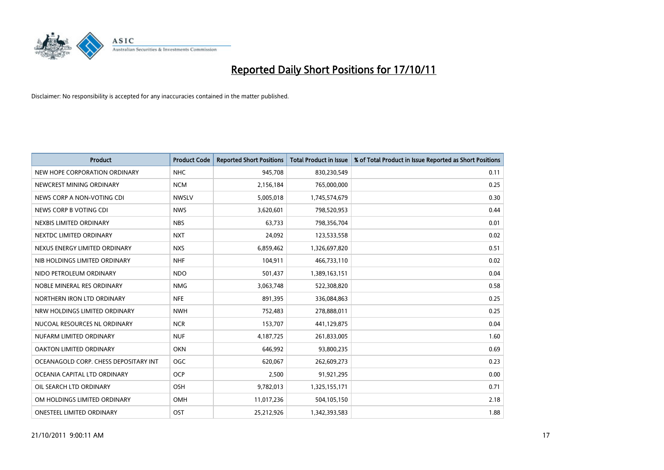

| <b>Product</b>                        | <b>Product Code</b> | <b>Reported Short Positions</b> | <b>Total Product in Issue</b> | % of Total Product in Issue Reported as Short Positions |
|---------------------------------------|---------------------|---------------------------------|-------------------------------|---------------------------------------------------------|
| NEW HOPE CORPORATION ORDINARY         | <b>NHC</b>          | 945,708                         | 830,230,549                   | 0.11                                                    |
| NEWCREST MINING ORDINARY              | <b>NCM</b>          | 2,156,184                       | 765,000,000                   | 0.25                                                    |
| NEWS CORP A NON-VOTING CDI            | <b>NWSLV</b>        | 5,005,018                       | 1,745,574,679                 | 0.30                                                    |
| NEWS CORP B VOTING CDI                | <b>NWS</b>          | 3,620,601                       | 798,520,953                   | 0.44                                                    |
| NEXBIS LIMITED ORDINARY               | <b>NBS</b>          | 63,733                          | 798,356,704                   | 0.01                                                    |
| NEXTDC LIMITED ORDINARY               | <b>NXT</b>          | 24,092                          | 123,533,558                   | 0.02                                                    |
| NEXUS ENERGY LIMITED ORDINARY         | <b>NXS</b>          | 6,859,462                       | 1,326,697,820                 | 0.51                                                    |
| NIB HOLDINGS LIMITED ORDINARY         | <b>NHF</b>          | 104,911                         | 466,733,110                   | 0.02                                                    |
| NIDO PETROLEUM ORDINARY               | <b>NDO</b>          | 501,437                         | 1,389,163,151                 | 0.04                                                    |
| NOBLE MINERAL RES ORDINARY            | <b>NMG</b>          | 3,063,748                       | 522,308,820                   | 0.58                                                    |
| NORTHERN IRON LTD ORDINARY            | <b>NFE</b>          | 891,395                         | 336,084,863                   | 0.25                                                    |
| NRW HOLDINGS LIMITED ORDINARY         | <b>NWH</b>          | 752,483                         | 278,888,011                   | 0.25                                                    |
| NUCOAL RESOURCES NL ORDINARY          | <b>NCR</b>          | 153,707                         | 441,129,875                   | 0.04                                                    |
| NUFARM LIMITED ORDINARY               | <b>NUF</b>          | 4,187,725                       | 261,833,005                   | 1.60                                                    |
| <b>OAKTON LIMITED ORDINARY</b>        | <b>OKN</b>          | 646,992                         | 93,800,235                    | 0.69                                                    |
| OCEANAGOLD CORP. CHESS DEPOSITARY INT | <b>OGC</b>          | 620,067                         | 262,609,273                   | 0.23                                                    |
| OCEANIA CAPITAL LTD ORDINARY          | <b>OCP</b>          | 2,500                           | 91,921,295                    | 0.00                                                    |
| OIL SEARCH LTD ORDINARY               | <b>OSH</b>          | 9,782,013                       | 1,325,155,171                 | 0.71                                                    |
| OM HOLDINGS LIMITED ORDINARY          | OMH                 | 11,017,236                      | 504,105,150                   | 2.18                                                    |
| <b>ONESTEEL LIMITED ORDINARY</b>      | OST                 | 25,212,926                      | 1,342,393,583                 | 1.88                                                    |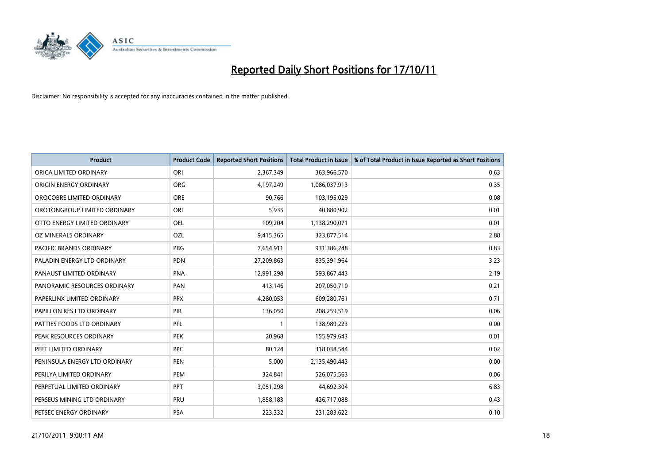

| <b>Product</b>                | <b>Product Code</b> | <b>Reported Short Positions</b> | <b>Total Product in Issue</b> | % of Total Product in Issue Reported as Short Positions |
|-------------------------------|---------------------|---------------------------------|-------------------------------|---------------------------------------------------------|
| ORICA LIMITED ORDINARY        | ORI                 | 2,367,349                       | 363,966,570                   | 0.63                                                    |
| ORIGIN ENERGY ORDINARY        | <b>ORG</b>          | 4,197,249                       | 1,086,037,913                 | 0.35                                                    |
| OROCOBRE LIMITED ORDINARY     | <b>ORE</b>          | 90.766                          | 103,195,029                   | 0.08                                                    |
| OROTONGROUP LIMITED ORDINARY  | <b>ORL</b>          | 5,935                           | 40,880,902                    | 0.01                                                    |
| OTTO ENERGY LIMITED ORDINARY  | <b>OEL</b>          | 109,204                         | 1,138,290,071                 | 0.01                                                    |
| OZ MINERALS ORDINARY          | OZL                 | 9,415,365                       | 323,877,514                   | 2.88                                                    |
| PACIFIC BRANDS ORDINARY       | <b>PBG</b>          | 7,654,911                       | 931,386,248                   | 0.83                                                    |
| PALADIN ENERGY LTD ORDINARY   | <b>PDN</b>          | 27,209,863                      | 835,391,964                   | 3.23                                                    |
| PANAUST LIMITED ORDINARY      | <b>PNA</b>          | 12,991,298                      | 593,867,443                   | 2.19                                                    |
| PANORAMIC RESOURCES ORDINARY  | PAN                 | 413,146                         | 207,050,710                   | 0.21                                                    |
| PAPERLINX LIMITED ORDINARY    | <b>PPX</b>          | 4,280,053                       | 609,280,761                   | 0.71                                                    |
| PAPILLON RES LTD ORDINARY     | <b>PIR</b>          | 136,050                         | 208,259,519                   | 0.06                                                    |
| PATTIES FOODS LTD ORDINARY    | PFL                 |                                 | 138,989,223                   | 0.00                                                    |
| PEAK RESOURCES ORDINARY       | <b>PEK</b>          | 20,968                          | 155,979,643                   | 0.01                                                    |
| PEET LIMITED ORDINARY         | <b>PPC</b>          | 80,124                          | 318,038,544                   | 0.02                                                    |
| PENINSULA ENERGY LTD ORDINARY | <b>PEN</b>          | 5,000                           | 2,135,490,443                 | 0.00                                                    |
| PERILYA LIMITED ORDINARY      | PEM                 | 324,841                         | 526,075,563                   | 0.06                                                    |
| PERPETUAL LIMITED ORDINARY    | <b>PPT</b>          | 3,051,298                       | 44,692,304                    | 6.83                                                    |
| PERSEUS MINING LTD ORDINARY   | PRU                 | 1,858,183                       | 426,717,088                   | 0.43                                                    |
| PETSEC ENERGY ORDINARY        | <b>PSA</b>          | 223,332                         | 231,283,622                   | 0.10                                                    |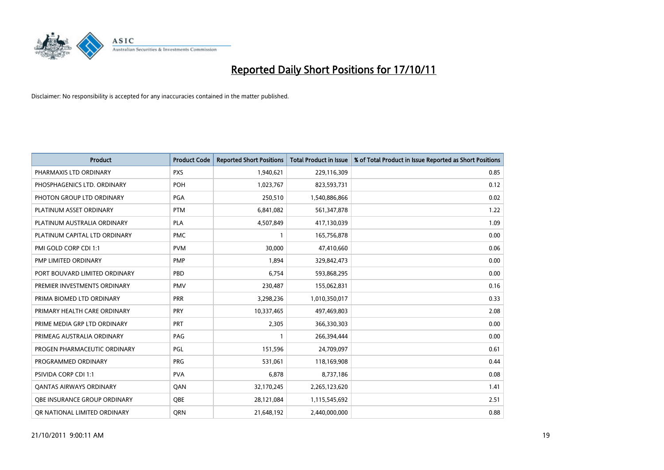

| <b>Product</b>                 | <b>Product Code</b> | <b>Reported Short Positions</b> | <b>Total Product in Issue</b> | % of Total Product in Issue Reported as Short Positions |
|--------------------------------|---------------------|---------------------------------|-------------------------------|---------------------------------------------------------|
| PHARMAXIS LTD ORDINARY         | <b>PXS</b>          | 1,940,621                       | 229,116,309                   | 0.85                                                    |
| PHOSPHAGENICS LTD. ORDINARY    | <b>POH</b>          | 1,023,767                       | 823,593,731                   | 0.12                                                    |
| PHOTON GROUP LTD ORDINARY      | PGA                 | 250,510                         | 1,540,886,866                 | 0.02                                                    |
| PLATINUM ASSET ORDINARY        | <b>PTM</b>          | 6,841,082                       | 561,347,878                   | 1.22                                                    |
| PLATINUM AUSTRALIA ORDINARY    | <b>PLA</b>          | 4,507,849                       | 417,130,039                   | 1.09                                                    |
| PLATINUM CAPITAL LTD ORDINARY  | <b>PMC</b>          |                                 | 165,756,878                   | 0.00                                                    |
| PMI GOLD CORP CDI 1:1          | <b>PVM</b>          | 30,000                          | 47,410,660                    | 0.06                                                    |
| PMP LIMITED ORDINARY           | <b>PMP</b>          | 1,894                           | 329,842,473                   | 0.00                                                    |
| PORT BOUVARD LIMITED ORDINARY  | PBD                 | 6,754                           | 593,868,295                   | 0.00                                                    |
| PREMIER INVESTMENTS ORDINARY   | <b>PMV</b>          | 230,487                         | 155,062,831                   | 0.16                                                    |
| PRIMA BIOMED LTD ORDINARY      | PRR                 | 3,298,236                       | 1,010,350,017                 | 0.33                                                    |
| PRIMARY HEALTH CARE ORDINARY   | <b>PRY</b>          | 10,337,465                      | 497,469,803                   | 2.08                                                    |
| PRIME MEDIA GRP LTD ORDINARY   | PRT                 | 2,305                           | 366,330,303                   | 0.00                                                    |
| PRIMEAG AUSTRALIA ORDINARY     | PAG                 |                                 | 266,394,444                   | 0.00                                                    |
| PROGEN PHARMACEUTIC ORDINARY   | PGL                 | 151,596                         | 24,709,097                    | 0.61                                                    |
| PROGRAMMED ORDINARY            | <b>PRG</b>          | 531,061                         | 118,169,908                   | 0.44                                                    |
| PSIVIDA CORP CDI 1:1           | <b>PVA</b>          | 6,878                           | 8,737,186                     | 0.08                                                    |
| <b>QANTAS AIRWAYS ORDINARY</b> | QAN                 | 32,170,245                      | 2,265,123,620                 | 1.41                                                    |
| OBE INSURANCE GROUP ORDINARY   | <b>OBE</b>          | 28,121,084                      | 1,115,545,692                 | 2.51                                                    |
| OR NATIONAL LIMITED ORDINARY   | <b>ORN</b>          | 21,648,192                      | 2,440,000,000                 | 0.88                                                    |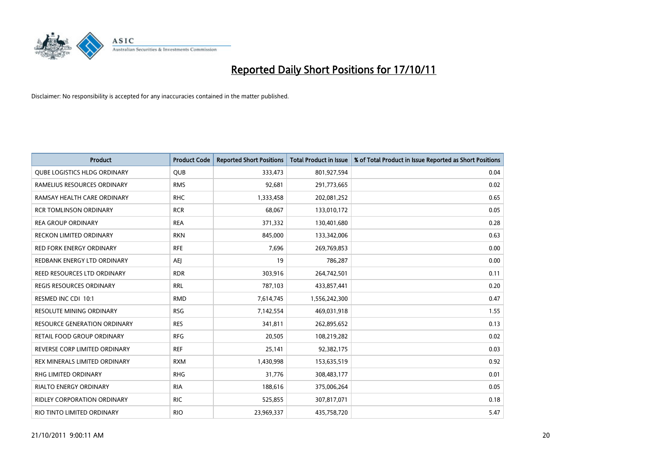

| <b>Product</b>                      | <b>Product Code</b> | <b>Reported Short Positions</b> | <b>Total Product in Issue</b> | % of Total Product in Issue Reported as Short Positions |
|-------------------------------------|---------------------|---------------------------------|-------------------------------|---------------------------------------------------------|
| <b>QUBE LOGISTICS HLDG ORDINARY</b> | <b>QUB</b>          | 333,473                         | 801,927,594                   | 0.04                                                    |
| RAMELIUS RESOURCES ORDINARY         | <b>RMS</b>          | 92,681                          | 291,773,665                   | 0.02                                                    |
| RAMSAY HEALTH CARE ORDINARY         | <b>RHC</b>          | 1,333,458                       | 202,081,252                   | 0.65                                                    |
| <b>RCR TOMLINSON ORDINARY</b>       | <b>RCR</b>          | 68,067                          | 133,010,172                   | 0.05                                                    |
| <b>REA GROUP ORDINARY</b>           | <b>REA</b>          | 371,332                         | 130,401,680                   | 0.28                                                    |
| <b>RECKON LIMITED ORDINARY</b>      | <b>RKN</b>          | 845,000                         | 133,342,006                   | 0.63                                                    |
| <b>RED FORK ENERGY ORDINARY</b>     | <b>RFE</b>          | 7,696                           | 269,769,853                   | 0.00                                                    |
| REDBANK ENERGY LTD ORDINARY         | AEI                 | 19                              | 786,287                       | 0.00                                                    |
| REED RESOURCES LTD ORDINARY         | <b>RDR</b>          | 303,916                         | 264,742,501                   | 0.11                                                    |
| <b>REGIS RESOURCES ORDINARY</b>     | <b>RRL</b>          | 787,103                         | 433,857,441                   | 0.20                                                    |
| RESMED INC CDI 10:1                 | <b>RMD</b>          | 7,614,745                       | 1,556,242,300                 | 0.47                                                    |
| <b>RESOLUTE MINING ORDINARY</b>     | <b>RSG</b>          | 7,142,554                       | 469,031,918                   | 1.55                                                    |
| RESOURCE GENERATION ORDINARY        | <b>RES</b>          | 341,811                         | 262,895,652                   | 0.13                                                    |
| RETAIL FOOD GROUP ORDINARY          | <b>RFG</b>          | 20,505                          | 108,219,282                   | 0.02                                                    |
| REVERSE CORP LIMITED ORDINARY       | <b>REF</b>          | 25,141                          | 92,382,175                    | 0.03                                                    |
| REX MINERALS LIMITED ORDINARY       | <b>RXM</b>          | 1,430,998                       | 153,635,519                   | 0.92                                                    |
| RHG LIMITED ORDINARY                | <b>RHG</b>          | 31,776                          | 308,483,177                   | 0.01                                                    |
| RIALTO ENERGY ORDINARY              | <b>RIA</b>          | 188,616                         | 375,006,264                   | 0.05                                                    |
| <b>RIDLEY CORPORATION ORDINARY</b>  | <b>RIC</b>          | 525,855                         | 307,817,071                   | 0.18                                                    |
| RIO TINTO LIMITED ORDINARY          | <b>RIO</b>          | 23,969,337                      | 435,758,720                   | 5.47                                                    |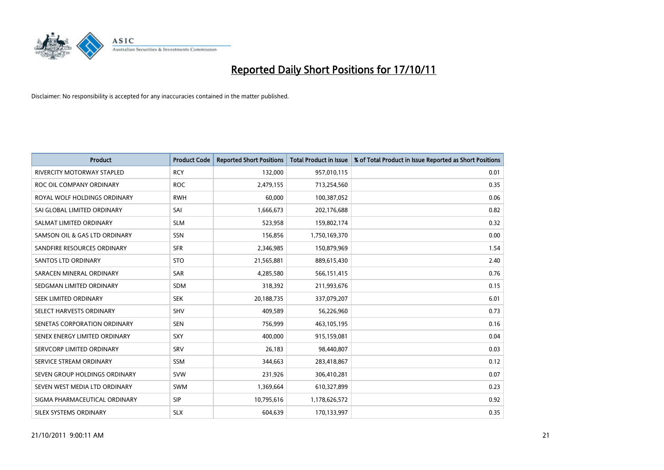

| <b>Product</b>                    | <b>Product Code</b> | <b>Reported Short Positions</b> | <b>Total Product in Issue</b> | % of Total Product in Issue Reported as Short Positions |
|-----------------------------------|---------------------|---------------------------------|-------------------------------|---------------------------------------------------------|
| <b>RIVERCITY MOTORWAY STAPLED</b> | <b>RCY</b>          | 132,000                         | 957,010,115                   | 0.01                                                    |
| ROC OIL COMPANY ORDINARY          | <b>ROC</b>          | 2,479,155                       | 713,254,560                   | 0.35                                                    |
| ROYAL WOLF HOLDINGS ORDINARY      | <b>RWH</b>          | 60,000                          | 100,387,052                   | 0.06                                                    |
| SAI GLOBAL LIMITED ORDINARY       | SAI                 | 1,666,673                       | 202,176,688                   | 0.82                                                    |
| SALMAT LIMITED ORDINARY           | <b>SLM</b>          | 523,958                         | 159,802,174                   | 0.32                                                    |
| SAMSON OIL & GAS LTD ORDINARY     | SSN                 | 156,856                         | 1,750,169,370                 | 0.00                                                    |
| SANDFIRE RESOURCES ORDINARY       | <b>SFR</b>          | 2,346,985                       | 150,879,969                   | 1.54                                                    |
| SANTOS LTD ORDINARY               | <b>STO</b>          | 21,565,881                      | 889,615,430                   | 2.40                                                    |
| SARACEN MINERAL ORDINARY          | SAR                 | 4,285,580                       | 566,151,415                   | 0.76                                                    |
| SEDGMAN LIMITED ORDINARY          | <b>SDM</b>          | 318,392                         | 211,993,676                   | 0.15                                                    |
| SEEK LIMITED ORDINARY             | <b>SEK</b>          | 20,188,735                      | 337,079,207                   | 6.01                                                    |
| SELECT HARVESTS ORDINARY          | <b>SHV</b>          | 409,589                         | 56,226,960                    | 0.73                                                    |
| SENETAS CORPORATION ORDINARY      | <b>SEN</b>          | 756,999                         | 463,105,195                   | 0.16                                                    |
| SENEX ENERGY LIMITED ORDINARY     | <b>SXY</b>          | 400,000                         | 915,159,081                   | 0.04                                                    |
| SERVCORP LIMITED ORDINARY         | SRV                 | 26,183                          | 98,440,807                    | 0.03                                                    |
| SERVICE STREAM ORDINARY           | <b>SSM</b>          | 344,663                         | 283,418,867                   | 0.12                                                    |
| SEVEN GROUP HOLDINGS ORDINARY     | <b>SVW</b>          | 231,926                         | 306,410,281                   | 0.07                                                    |
| SEVEN WEST MEDIA LTD ORDINARY     | <b>SWM</b>          | 1,369,664                       | 610,327,899                   | 0.23                                                    |
| SIGMA PHARMACEUTICAL ORDINARY     | <b>SIP</b>          | 10,795,616                      | 1,178,626,572                 | 0.92                                                    |
| SILEX SYSTEMS ORDINARY            | <b>SLX</b>          | 604,639                         | 170,133,997                   | 0.35                                                    |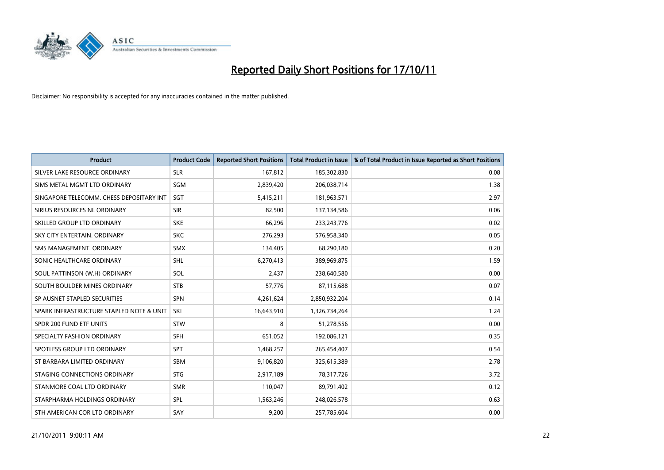

| <b>Product</b>                           | <b>Product Code</b> | <b>Reported Short Positions</b> | <b>Total Product in Issue</b> | % of Total Product in Issue Reported as Short Positions |
|------------------------------------------|---------------------|---------------------------------|-------------------------------|---------------------------------------------------------|
| SILVER LAKE RESOURCE ORDINARY            | <b>SLR</b>          | 167,812                         | 185,302,830                   | 0.08                                                    |
| SIMS METAL MGMT LTD ORDINARY             | <b>SGM</b>          | 2,839,420                       | 206,038,714                   | 1.38                                                    |
| SINGAPORE TELECOMM. CHESS DEPOSITARY INT | <b>SGT</b>          | 5,415,211                       | 181,963,571                   | 2.97                                                    |
| SIRIUS RESOURCES NL ORDINARY             | <b>SIR</b>          | 82,500                          | 137,134,586                   | 0.06                                                    |
| SKILLED GROUP LTD ORDINARY               | <b>SKE</b>          | 66,296                          | 233, 243, 776                 | 0.02                                                    |
| SKY CITY ENTERTAIN, ORDINARY             | <b>SKC</b>          | 276,293                         | 576,958,340                   | 0.05                                                    |
| SMS MANAGEMENT, ORDINARY                 | <b>SMX</b>          | 134,405                         | 68,290,180                    | 0.20                                                    |
| SONIC HEALTHCARE ORDINARY                | <b>SHL</b>          | 6,270,413                       | 389,969,875                   | 1.59                                                    |
| SOUL PATTINSON (W.H) ORDINARY            | SOL                 | 2,437                           | 238,640,580                   | 0.00                                                    |
| SOUTH BOULDER MINES ORDINARY             | <b>STB</b>          | 57,776                          | 87,115,688                    | 0.07                                                    |
| SP AUSNET STAPLED SECURITIES             | <b>SPN</b>          | 4,261,624                       | 2,850,932,204                 | 0.14                                                    |
| SPARK INFRASTRUCTURE STAPLED NOTE & UNIT | SKI                 | 16,643,910                      | 1,326,734,264                 | 1.24                                                    |
| SPDR 200 FUND ETF UNITS                  | <b>STW</b>          | 8                               | 51,278,556                    | 0.00                                                    |
| SPECIALTY FASHION ORDINARY               | <b>SFH</b>          | 651,052                         | 192,086,121                   | 0.35                                                    |
| SPOTLESS GROUP LTD ORDINARY              | <b>SPT</b>          | 1,468,257                       | 265,454,407                   | 0.54                                                    |
| ST BARBARA LIMITED ORDINARY              | <b>SBM</b>          | 9,106,820                       | 325,615,389                   | 2.78                                                    |
| STAGING CONNECTIONS ORDINARY             | <b>STG</b>          | 2,917,189                       | 78,317,726                    | 3.72                                                    |
| STANMORE COAL LTD ORDINARY               | <b>SMR</b>          | 110,047                         | 89,791,402                    | 0.12                                                    |
| STARPHARMA HOLDINGS ORDINARY             | <b>SPL</b>          | 1,563,246                       | 248,026,578                   | 0.63                                                    |
| STH AMERICAN COR LTD ORDINARY            | SAY                 | 9,200                           | 257,785,604                   | 0.00                                                    |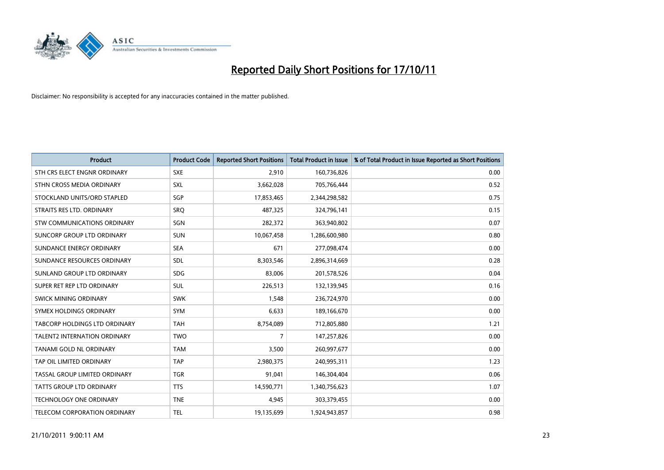

| <b>Product</b>                      | <b>Product Code</b> | <b>Reported Short Positions</b> | <b>Total Product in Issue</b> | % of Total Product in Issue Reported as Short Positions |
|-------------------------------------|---------------------|---------------------------------|-------------------------------|---------------------------------------------------------|
| STH CRS ELECT ENGNR ORDINARY        | <b>SXE</b>          | 2,910                           | 160,736,826                   | 0.00                                                    |
| STHN CROSS MEDIA ORDINARY           | <b>SXL</b>          | 3,662,028                       | 705,766,444                   | 0.52                                                    |
| STOCKLAND UNITS/ORD STAPLED         | SGP                 | 17,853,465                      | 2,344,298,582                 | 0.75                                                    |
| STRAITS RES LTD. ORDINARY           | SRQ                 | 487,325                         | 324,796,141                   | 0.15                                                    |
| STW COMMUNICATIONS ORDINARY         | SGN                 | 282,372                         | 363,940,802                   | 0.07                                                    |
| SUNCORP GROUP LTD ORDINARY          | <b>SUN</b>          | 10,067,458                      | 1,286,600,980                 | 0.80                                                    |
| SUNDANCE ENERGY ORDINARY            | <b>SEA</b>          | 671                             | 277,098,474                   | 0.00                                                    |
| SUNDANCE RESOURCES ORDINARY         | <b>SDL</b>          | 8,303,546                       | 2,896,314,669                 | 0.28                                                    |
| SUNLAND GROUP LTD ORDINARY          | <b>SDG</b>          | 83,006                          | 201,578,526                   | 0.04                                                    |
| SUPER RET REP LTD ORDINARY          | <b>SUL</b>          | 226,513                         | 132,139,945                   | 0.16                                                    |
| SWICK MINING ORDINARY               | <b>SWK</b>          | 1,548                           | 236,724,970                   | 0.00                                                    |
| SYMEX HOLDINGS ORDINARY             | <b>SYM</b>          | 6,633                           | 189,166,670                   | 0.00                                                    |
| TABCORP HOLDINGS LTD ORDINARY       | <b>TAH</b>          | 8,754,089                       | 712,805,880                   | 1.21                                                    |
| <b>TALENT2 INTERNATION ORDINARY</b> | <b>TWO</b>          | 7                               | 147,257,826                   | 0.00                                                    |
| TANAMI GOLD NL ORDINARY             | <b>TAM</b>          | 3,500                           | 260,997,677                   | 0.00                                                    |
| TAP OIL LIMITED ORDINARY            | <b>TAP</b>          | 2,980,375                       | 240,995,311                   | 1.23                                                    |
| TASSAL GROUP LIMITED ORDINARY       | <b>TGR</b>          | 91,041                          | 146,304,404                   | 0.06                                                    |
| TATTS GROUP LTD ORDINARY            | <b>TTS</b>          | 14,590,771                      | 1,340,756,623                 | 1.07                                                    |
| <b>TECHNOLOGY ONE ORDINARY</b>      | <b>TNE</b>          | 4,945                           | 303,379,455                   | 0.00                                                    |
| TELECOM CORPORATION ORDINARY        | <b>TEL</b>          | 19,135,699                      | 1,924,943,857                 | 0.98                                                    |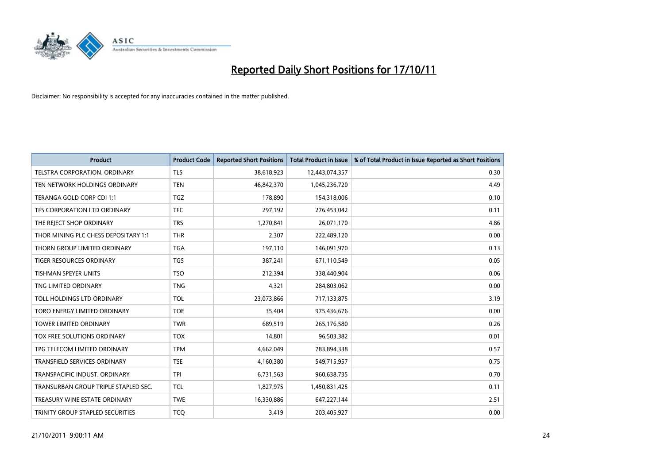

| <b>Product</b>                       | <b>Product Code</b> | <b>Reported Short Positions</b> | <b>Total Product in Issue</b> | % of Total Product in Issue Reported as Short Positions |
|--------------------------------------|---------------------|---------------------------------|-------------------------------|---------------------------------------------------------|
| TELSTRA CORPORATION, ORDINARY        | <b>TLS</b>          | 38,618,923                      | 12,443,074,357                | 0.30                                                    |
| TEN NETWORK HOLDINGS ORDINARY        | <b>TEN</b>          | 46,842,370                      | 1,045,236,720                 | 4.49                                                    |
| TERANGA GOLD CORP CDI 1:1            | <b>TGZ</b>          | 178,890                         | 154,318,006                   | 0.10                                                    |
| TFS CORPORATION LTD ORDINARY         | <b>TFC</b>          | 297,192                         | 276,453,042                   | 0.11                                                    |
| THE REJECT SHOP ORDINARY             | <b>TRS</b>          | 1,270,841                       | 26,071,170                    | 4.86                                                    |
| THOR MINING PLC CHESS DEPOSITARY 1:1 | <b>THR</b>          | 2,307                           | 222,489,120                   | 0.00                                                    |
| THORN GROUP LIMITED ORDINARY         | <b>TGA</b>          | 197,110                         | 146,091,970                   | 0.13                                                    |
| TIGER RESOURCES ORDINARY             | <b>TGS</b>          | 387,241                         | 671,110,549                   | 0.05                                                    |
| TISHMAN SPEYER UNITS                 | <b>TSO</b>          | 212,394                         | 338,440,904                   | 0.06                                                    |
| TNG LIMITED ORDINARY                 | <b>TNG</b>          | 4,321                           | 284,803,062                   | 0.00                                                    |
| TOLL HOLDINGS LTD ORDINARY           | <b>TOL</b>          | 23,073,866                      | 717,133,875                   | 3.19                                                    |
| TORO ENERGY LIMITED ORDINARY         | <b>TOE</b>          | 35,404                          | 975,436,676                   | 0.00                                                    |
| TOWER LIMITED ORDINARY               | <b>TWR</b>          | 689,519                         | 265,176,580                   | 0.26                                                    |
| TOX FREE SOLUTIONS ORDINARY          | <b>TOX</b>          | 14,801                          | 96,503,382                    | 0.01                                                    |
| TPG TELECOM LIMITED ORDINARY         | <b>TPM</b>          | 4,662,049                       | 783,894,338                   | 0.57                                                    |
| <b>TRANSFIELD SERVICES ORDINARY</b>  | <b>TSE</b>          | 4,160,380                       | 549,715,957                   | 0.75                                                    |
| TRANSPACIFIC INDUST, ORDINARY        | <b>TPI</b>          | 6,731,563                       | 960,638,735                   | 0.70                                                    |
| TRANSURBAN GROUP TRIPLE STAPLED SEC. | <b>TCL</b>          | 1,827,975                       | 1,450,831,425                 | 0.11                                                    |
| TREASURY WINE ESTATE ORDINARY        | <b>TWE</b>          | 16,330,886                      | 647,227,144                   | 2.51                                                    |
| TRINITY GROUP STAPLED SECURITIES     | <b>TCO</b>          | 3,419                           | 203,405,927                   | 0.00                                                    |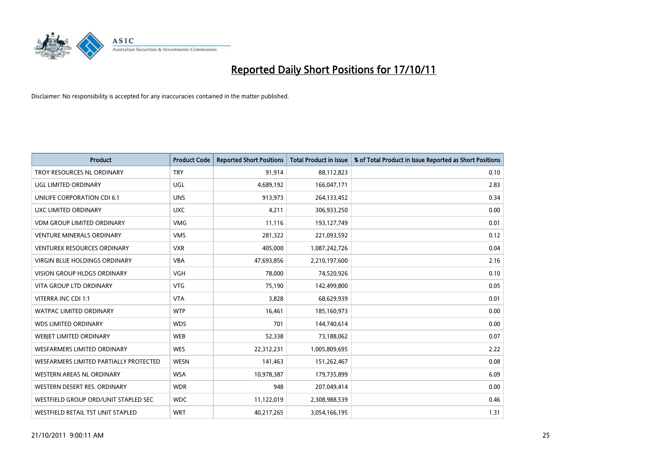

| <b>Product</b>                         | <b>Product Code</b> | <b>Reported Short Positions</b> | <b>Total Product in Issue</b> | % of Total Product in Issue Reported as Short Positions |
|----------------------------------------|---------------------|---------------------------------|-------------------------------|---------------------------------------------------------|
| TROY RESOURCES NL ORDINARY             | <b>TRY</b>          | 91,914                          | 88,112,823                    | 0.10                                                    |
| UGL LIMITED ORDINARY                   | <b>UGL</b>          | 4,689,192                       | 166,047,171                   | 2.83                                                    |
| UNILIFE CORPORATION CDI 6:1            | <b>UNS</b>          | 913,973                         | 264,133,452                   | 0.34                                                    |
| UXC LIMITED ORDINARY                   | <b>UXC</b>          | 4,211                           | 306,933,250                   | 0.00                                                    |
| <b>VDM GROUP LIMITED ORDINARY</b>      | <b>VMG</b>          | 11,116                          | 193,127,749                   | 0.01                                                    |
| <b>VENTURE MINERALS ORDINARY</b>       | <b>VMS</b>          | 281,322                         | 221,093,592                   | 0.12                                                    |
| VENTUREX RESOURCES ORDINARY            | <b>VXR</b>          | 405,000                         | 1,087,242,726                 | 0.04                                                    |
| VIRGIN BLUE HOLDINGS ORDINARY          | <b>VBA</b>          | 47,693,856                      | 2,210,197,600                 | 2.16                                                    |
| <b>VISION GROUP HLDGS ORDINARY</b>     | <b>VGH</b>          | 78,000                          | 74,520,926                    | 0.10                                                    |
| <b>VITA GROUP LTD ORDINARY</b>         | <b>VTG</b>          | 75,190                          | 142,499,800                   | 0.05                                                    |
| VITERRA INC CDI 1:1                    | <b>VTA</b>          | 3,828                           | 68,629,939                    | 0.01                                                    |
| <b>WATPAC LIMITED ORDINARY</b>         | <b>WTP</b>          | 16,461                          | 185,160,973                   | 0.00                                                    |
| <b>WDS LIMITED ORDINARY</b>            | <b>WDS</b>          | 701                             | 144,740,614                   | 0.00                                                    |
| WEBIET LIMITED ORDINARY                | <b>WEB</b>          | 52,338                          | 73,188,062                    | 0.07                                                    |
| <b>WESFARMERS LIMITED ORDINARY</b>     | <b>WES</b>          | 22,312,231                      | 1,005,809,695                 | 2.22                                                    |
| WESFARMERS LIMITED PARTIALLY PROTECTED | <b>WESN</b>         | 141,463                         | 151,262,467                   | 0.08                                                    |
| WESTERN AREAS NL ORDINARY              | <b>WSA</b>          | 10,978,387                      | 179,735,899                   | 6.09                                                    |
| WESTERN DESERT RES. ORDINARY           | <b>WDR</b>          | 948                             | 207,049,414                   | 0.00                                                    |
| WESTFIELD GROUP ORD/UNIT STAPLED SEC   | <b>WDC</b>          | 11,122,019                      | 2,308,988,539                 | 0.46                                                    |
| WESTFIELD RETAIL TST UNIT STAPLED      | <b>WRT</b>          | 40,217,265                      | 3,054,166,195                 | 1.31                                                    |